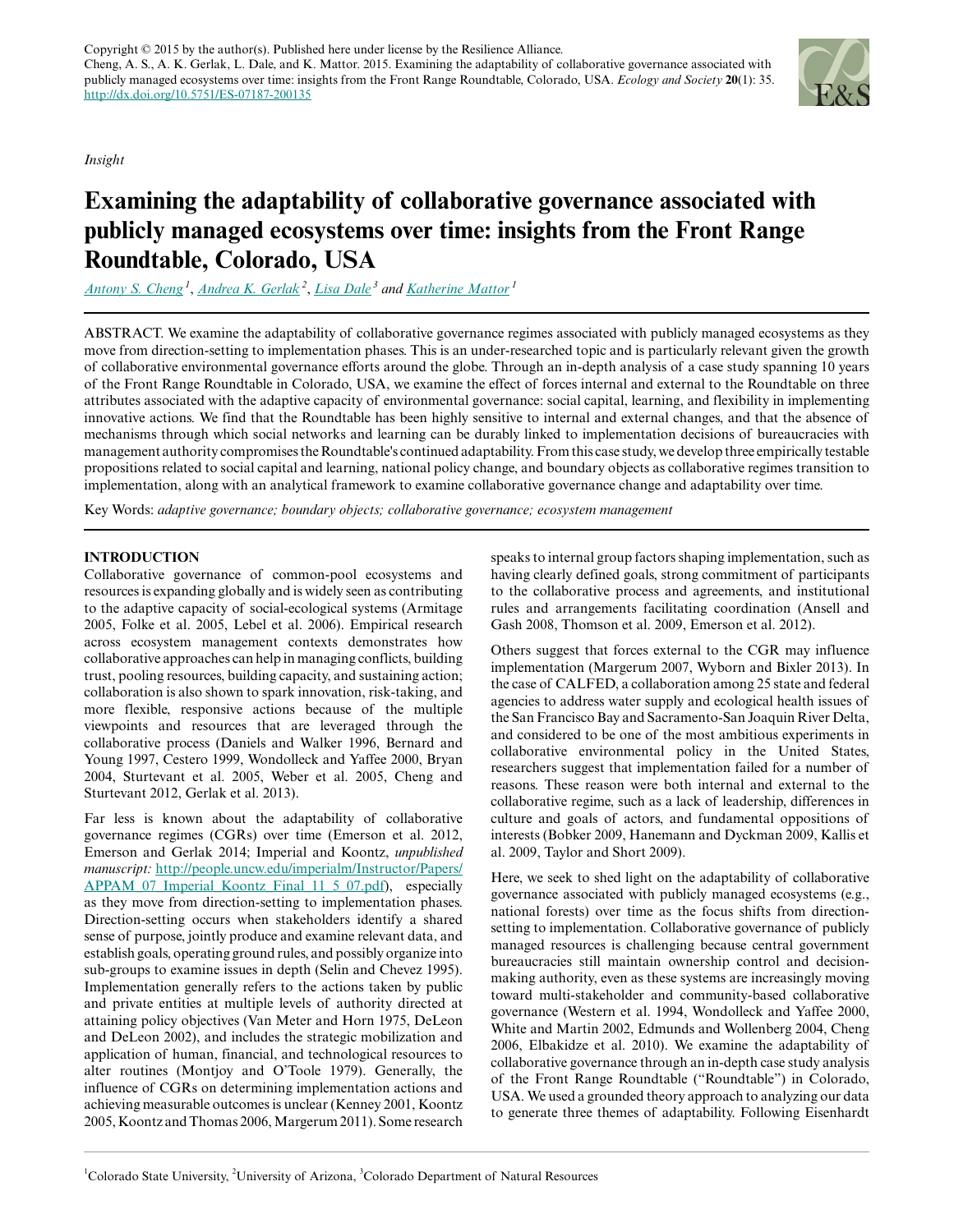Copyright  $\odot$  2015 by the author(s). Published here under license by the Resilience Alliance. Cheng, A. S., A. K. Gerlak, L. Dale, and K. Mattor. 2015. Examining the adaptability of collaborative governance associated with publicly managed ecosystems over time: insights from the Front Range Roundtable, Colorado, USA. *Ecology and Society* **20**(1): 35. <http://dx.doi.org/10.5751/ES-07187-200135>

*Insight*

# **Examining the adaptability of collaborative governance associated with publicly managed ecosystems over time: insights from the Front Range Roundtable, Colorado, USA**

*[Antony S. Cheng](mailto:Tony.CHENG@colostate.edu)<sup>1</sup>* , *[Andrea K. Gerlak](mailto:agerlak@isanet.org)<sup>2</sup>* , *[Lisa Dale](mailto:lisa.dale@state.co.us)<sup>3</sup> and [Katherine Mattor](mailto:katherine.mattor@colostate.edu)<sup>1</sup>*

ABSTRACT. We examine the adaptability of collaborative governance regimes associated with publicly managed ecosystems as they move from direction-setting to implementation phases. This is an under-researched topic and is particularly relevant given the growth of collaborative environmental governance efforts around the globe. Through an in-depth analysis of a case study spanning 10 years of the Front Range Roundtable in Colorado, USA, we examine the effect of forces internal and external to the Roundtable on three attributes associated with the adaptive capacity of environmental governance: social capital, learning, and flexibility in implementing innovative actions. We find that the Roundtable has been highly sensitive to internal and external changes, and that the absence of mechanisms through which social networks and learning can be durably linked to implementation decisions of bureaucracies with management authority compromises the Roundtable's continued adaptability. From this case study, we develop three empirically testable propositions related to social capital and learning, national policy change, and boundary objects as collaborative regimes transition to implementation, along with an analytical framework to examine collaborative governance change and adaptability over time.

Key Words: *adaptive governance; boundary objects; collaborative governance; ecosystem management*

# **INTRODUCTION**

Collaborative governance of common-pool ecosystems and resources is expanding globally and is widely seen as contributing to the adaptive capacity of social-ecological systems (Armitage 2005, Folke et al. 2005, Lebel et al. 2006). Empirical research across ecosystem management contexts demonstrates how collaborative approaches can help in managing conflicts, building trust, pooling resources, building capacity, and sustaining action; collaboration is also shown to spark innovation, risk-taking, and more flexible, responsive actions because of the multiple viewpoints and resources that are leveraged through the collaborative process (Daniels and Walker 1996, Bernard and Young 1997, Cestero 1999, Wondolleck and Yaffee 2000, Bryan 2004, Sturtevant et al. 2005, Weber et al. 2005, Cheng and Sturtevant 2012, Gerlak et al. 2013).

Far less is known about the adaptability of collaborative governance regimes (CGRs) over time (Emerson et al. 2012, Emerson and Gerlak 2014; Imperial and Koontz, *unpublished manuscript:* [http://people.uncw.edu/imperialm/Instructor/Papers/](http://people.uncw.edu/imperialm/Instructor/Papers/APPAM_07_Imperial_Koontz_Final_11_5_07.pdf) [APPAM\\_07\\_Imperial\\_Koontz\\_Final\\_11\\_5\\_07.pdf\)](http://people.uncw.edu/imperialm/Instructor/Papers/APPAM_07_Imperial_Koontz_Final_11_5_07.pdf), especially as they move from direction-setting to implementation phases. Direction-setting occurs when stakeholders identify a shared sense of purpose, jointly produce and examine relevant data, and establish goals, operating ground rules, and possibly organize into sub-groups to examine issues in depth (Selin and Chevez 1995). Implementation generally refers to the actions taken by public and private entities at multiple levels of authority directed at attaining policy objectives (Van Meter and Horn 1975, DeLeon and DeLeon 2002), and includes the strategic mobilization and application of human, financial, and technological resources to alter routines (Montjoy and O'Toole 1979). Generally, the influence of CGRs on determining implementation actions and achieving measurable outcomes is unclear (Kenney 2001, Koontz 2005, Koontz and Thomas 2006, Margerum 2011). Some research speaks to internal group factors shaping implementation, such as having clearly defined goals, strong commitment of participants to the collaborative process and agreements, and institutional rules and arrangements facilitating coordination (Ansell and Gash 2008, Thomson et al. 2009, Emerson et al. 2012).

Others suggest that forces external to the CGR may influence implementation (Margerum 2007, Wyborn and Bixler 2013). In the case of CALFED, a collaboration among 25 state and federal agencies to address water supply and ecological health issues of the San Francisco Bay and Sacramento-San Joaquin River Delta, and considered to be one of the most ambitious experiments in collaborative environmental policy in the United States, researchers suggest that implementation failed for a number of reasons. These reason were both internal and external to the collaborative regime, such as a lack of leadership, differences in culture and goals of actors, and fundamental oppositions of interests (Bobker 2009, Hanemann and Dyckman 2009, Kallis et al. 2009, Taylor and Short 2009).

Here, we seek to shed light on the adaptability of collaborative governance associated with publicly managed ecosystems (e.g., national forests) over time as the focus shifts from directionsetting to implementation. Collaborative governance of publicly managed resources is challenging because central government bureaucracies still maintain ownership control and decisionmaking authority, even as these systems are increasingly moving toward multi-stakeholder and community-based collaborative governance (Western et al. 1994, Wondolleck and Yaffee 2000, White and Martin 2002, Edmunds and Wollenberg 2004, Cheng 2006, Elbakidze et al. 2010). We examine the adaptability of collaborative governance through an in-depth case study analysis of the Front Range Roundtable ("Roundtable") in Colorado, USA. We used a grounded theory approach to analyzing our data to generate three themes of adaptability. Following Eisenhardt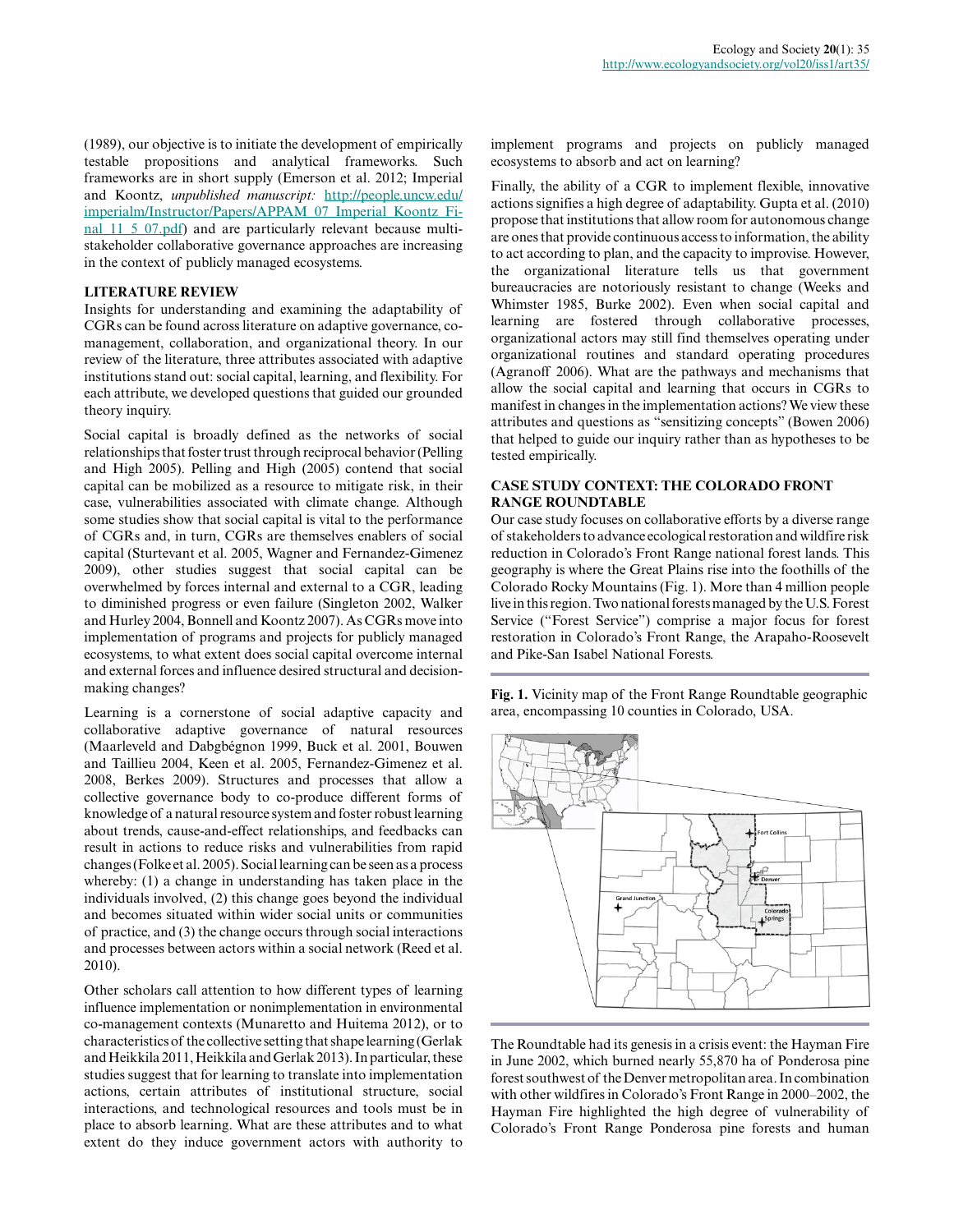(1989), our objective is to initiate the development of empirically testable propositions and analytical frameworks. Such frameworks are in short supply (Emerson et al. 2012; Imperial and Koontz, *unpublished manuscript:* [http://people.uncw.edu/](http://people.uncw.edu/imperialm/Instructor/Papers/APPAM_07_Imperial_Koontz_Final_11_5_07.pdf) [imperialm/Instructor/Papers/APPAM\\_07\\_Imperial\\_Koontz\\_Fi](http://people.uncw.edu/imperialm/Instructor/Papers/APPAM_07_Imperial_Koontz_Final_11_5_07.pdf)[nal\\_11\\_5\\_07.pdf](http://people.uncw.edu/imperialm/Instructor/Papers/APPAM_07_Imperial_Koontz_Final_11_5_07.pdf)) and are particularly relevant because multistakeholder collaborative governance approaches are increasing in the context of publicly managed ecosystems.

### **LITERATURE REVIEW**

Insights for understanding and examining the adaptability of CGRs can be found across literature on adaptive governance, comanagement, collaboration, and organizational theory. In our review of the literature, three attributes associated with adaptive institutions stand out: social capital, learning, and flexibility. For each attribute, we developed questions that guided our grounded theory inquiry.

Social capital is broadly defined as the networks of social relationships that foster trust through reciprocal behavior (Pelling and High 2005). Pelling and High (2005) contend that social capital can be mobilized as a resource to mitigate risk, in their case, vulnerabilities associated with climate change. Although some studies show that social capital is vital to the performance of CGRs and, in turn, CGRs are themselves enablers of social capital (Sturtevant et al. 2005, Wagner and Fernandez-Gimenez 2009), other studies suggest that social capital can be overwhelmed by forces internal and external to a CGR, leading to diminished progress or even failure (Singleton 2002, Walker and Hurley 2004, Bonnell and Koontz 2007). As CGRs move into implementation of programs and projects for publicly managed ecosystems, to what extent does social capital overcome internal and external forces and influence desired structural and decisionmaking changes?

Learning is a cornerstone of social adaptive capacity and collaborative adaptive governance of natural resources (Maarleveld and Dabgbégnon 1999, Buck et al. 2001, Bouwen and Taillieu 2004, Keen et al. 2005, Fernandez-Gimenez et al. 2008, Berkes 2009). Structures and processes that allow a collective governance body to co-produce different forms of knowledge of a natural resource system and foster robust learning about trends, cause-and-effect relationships, and feedbacks can result in actions to reduce risks and vulnerabilities from rapid changes (Folke et al. 2005). Social learning can be seen as a process whereby: (1) a change in understanding has taken place in the individuals involved, (2) this change goes beyond the individual and becomes situated within wider social units or communities of practice, and (3) the change occurs through social interactions and processes between actors within a social network (Reed et al. 2010).

Other scholars call attention to how different types of learning influence implementation or nonimplementation in environmental co-management contexts (Munaretto and Huitema 2012), or to characteristics of the collective setting that shape learning (Gerlak and Heikkila 2011, Heikkila and Gerlak 2013). In particular, these studies suggest that for learning to translate into implementation actions, certain attributes of institutional structure, social interactions, and technological resources and tools must be in place to absorb learning. What are these attributes and to what extent do they induce government actors with authority to

implement programs and projects on publicly managed ecosystems to absorb and act on learning?

Finally, the ability of a CGR to implement flexible, innovative actions signifies a high degree of adaptability. Gupta et al. (2010) propose that institutions that allow room for autonomous change are ones that provide continuous access to information, the ability to act according to plan, and the capacity to improvise. However, the organizational literature tells us that government bureaucracies are notoriously resistant to change (Weeks and Whimster 1985, Burke 2002). Even when social capital and learning are fostered through collaborative processes, organizational actors may still find themselves operating under organizational routines and standard operating procedures (Agranoff 2006). What are the pathways and mechanisms that allow the social capital and learning that occurs in CGRs to manifest in changes in the implementation actions? We view these attributes and questions as "sensitizing concepts" (Bowen 2006) that helped to guide our inquiry rather than as hypotheses to be tested empirically.

# **CASE STUDY CONTEXT: THE COLORADO FRONT RANGE ROUNDTABLE**

Our case study focuses on collaborative efforts by a diverse range of stakeholders to advance ecological restoration and wildfire risk reduction in Colorado's Front Range national forest lands. This geography is where the Great Plains rise into the foothills of the Colorado Rocky Mountains (Fig. 1). More than 4 million people live in this region. Two national forests managed by the U.S. Forest Service ("Forest Service") comprise a major focus for forest restoration in Colorado's Front Range, the Arapaho-Roosevelt and Pike-San Isabel National Forests.

**Fig. 1.** Vicinity map of the Front Range Roundtable geographic area, encompassing 10 counties in Colorado, USA.



The Roundtable had its genesis in a crisis event: the Hayman Fire in June 2002, which burned nearly 55,870 ha of Ponderosa pine forest southwest of the Denver metropolitan area. In combination with other wildfires in Colorado's Front Range in 2000–2002, the Hayman Fire highlighted the high degree of vulnerability of Colorado's Front Range Ponderosa pine forests and human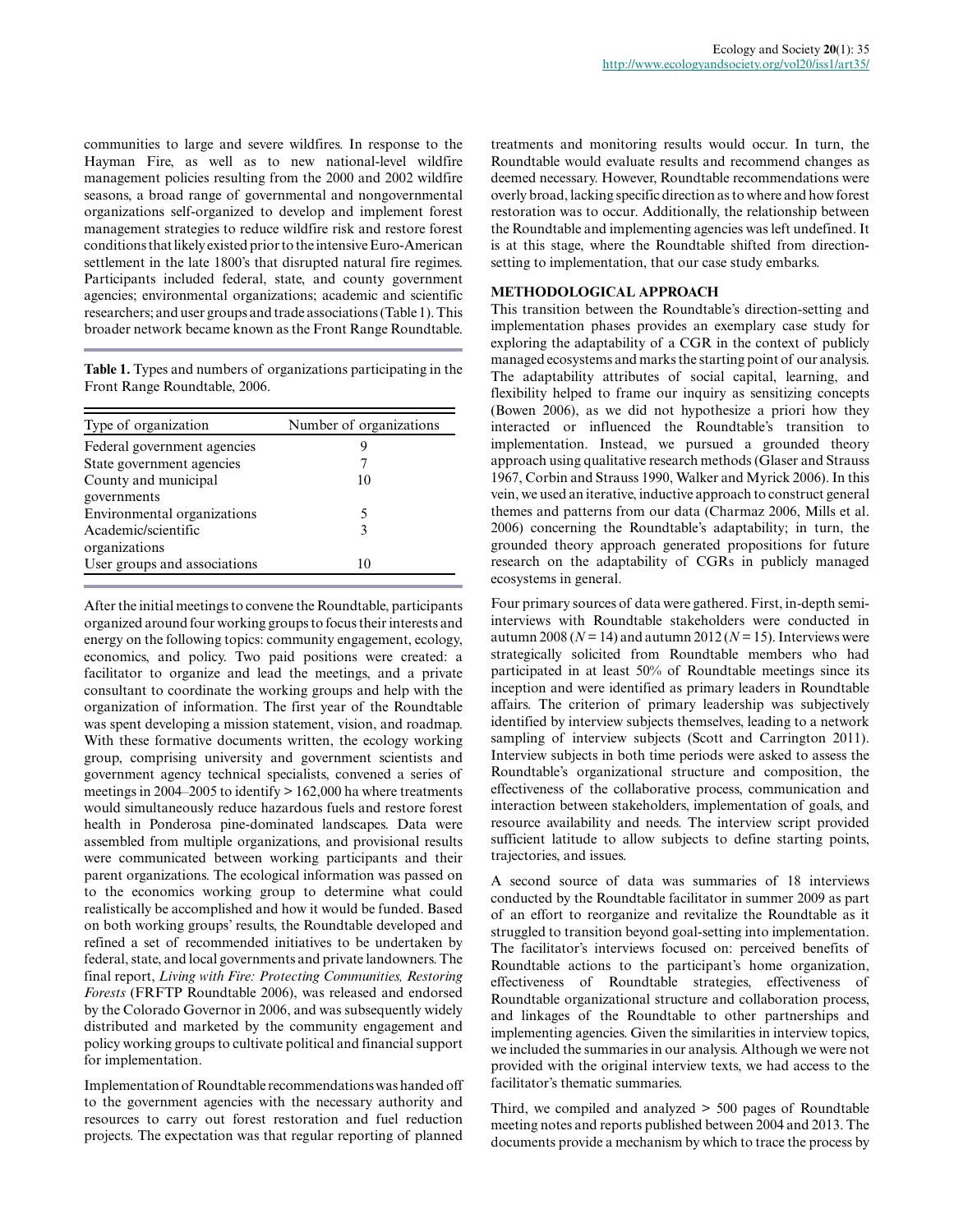communities to large and severe wildfires. In response to the Hayman Fire, as well as to new national-level wildfire management policies resulting from the 2000 and 2002 wildfire seasons, a broad range of governmental and nongovernmental organizations self-organized to develop and implement forest management strategies to reduce wildfire risk and restore forest conditions that likely existed prior to the intensive Euro-American settlement in the late 1800's that disrupted natural fire regimes. Participants included federal, state, and county government agencies; environmental organizations; academic and scientific researchers; and user groups and trade associations (Table 1). This broader network became known as the Front Range Roundtable.

**Table 1.** Types and numbers of organizations participating in the Front Range Roundtable, 2006.

| Type of organization         | Number of organizations |
|------------------------------|-------------------------|
| Federal government agencies  |                         |
| State government agencies    |                         |
| County and municipal         | 10                      |
| governments                  |                         |
| Environmental organizations  | 5                       |
| Academic/scientific          | 3                       |
| organizations                |                         |
| User groups and associations | 10                      |

After the initial meetings to convene the Roundtable, participants organized around four working groups to focus their interests and energy on the following topics: community engagement, ecology, economics, and policy. Two paid positions were created: a facilitator to organize and lead the meetings, and a private consultant to coordinate the working groups and help with the organization of information. The first year of the Roundtable was spent developing a mission statement, vision, and roadmap. With these formative documents written, the ecology working group, comprising university and government scientists and government agency technical specialists, convened a series of meetings in 2004–2005 to identify > 162,000 ha where treatments would simultaneously reduce hazardous fuels and restore forest health in Ponderosa pine-dominated landscapes. Data were assembled from multiple organizations, and provisional results were communicated between working participants and their parent organizations. The ecological information was passed on to the economics working group to determine what could realistically be accomplished and how it would be funded. Based on both working groups' results, the Roundtable developed and refined a set of recommended initiatives to be undertaken by federal, state, and local governments and private landowners. The final report, *Living with Fire: Protecting Communities, Restoring Forests* (FRFTP Roundtable 2006), was released and endorsed by the Colorado Governor in 2006, and was subsequently widely distributed and marketed by the community engagement and policy working groups to cultivate political and financial support for implementation.

Implementation of Roundtable recommendations was handed off to the government agencies with the necessary authority and resources to carry out forest restoration and fuel reduction projects. The expectation was that regular reporting of planned

treatments and monitoring results would occur. In turn, the Roundtable would evaluate results and recommend changes as deemed necessary. However, Roundtable recommendations were overly broad, lacking specific direction as to where and how forest restoration was to occur. Additionally, the relationship between the Roundtable and implementing agencies was left undefined. It is at this stage, where the Roundtable shifted from directionsetting to implementation, that our case study embarks.

### **METHODOLOGICAL APPROACH**

This transition between the Roundtable's direction-setting and implementation phases provides an exemplary case study for exploring the adaptability of a CGR in the context of publicly managed ecosystems and marks the starting point of our analysis. The adaptability attributes of social capital, learning, and flexibility helped to frame our inquiry as sensitizing concepts (Bowen 2006), as we did not hypothesize a priori how they interacted or influenced the Roundtable's transition to implementation. Instead, we pursued a grounded theory approach using qualitative research methods (Glaser and Strauss 1967, Corbin and Strauss 1990, Walker and Myrick 2006). In this vein, we used an iterative, inductive approach to construct general themes and patterns from our data (Charmaz 2006, Mills et al. 2006) concerning the Roundtable's adaptability; in turn, the grounded theory approach generated propositions for future research on the adaptability of CGRs in publicly managed ecosystems in general.

Four primary sources of data were gathered. First, in-depth semiinterviews with Roundtable stakeholders were conducted in autumn 2008 ( $N = 14$ ) and autumn 2012 ( $N = 15$ ). Interviews were strategically solicited from Roundtable members who had participated in at least 50% of Roundtable meetings since its inception and were identified as primary leaders in Roundtable affairs. The criterion of primary leadership was subjectively identified by interview subjects themselves, leading to a network sampling of interview subjects (Scott and Carrington 2011). Interview subjects in both time periods were asked to assess the Roundtable's organizational structure and composition, the effectiveness of the collaborative process, communication and interaction between stakeholders, implementation of goals, and resource availability and needs. The interview script provided sufficient latitude to allow subjects to define starting points, trajectories, and issues.

A second source of data was summaries of 18 interviews conducted by the Roundtable facilitator in summer 2009 as part of an effort to reorganize and revitalize the Roundtable as it struggled to transition beyond goal-setting into implementation. The facilitator's interviews focused on: perceived benefits of Roundtable actions to the participant's home organization, effectiveness of Roundtable strategies, effectiveness of Roundtable organizational structure and collaboration process, and linkages of the Roundtable to other partnerships and implementing agencies. Given the similarities in interview topics, we included the summaries in our analysis. Although we were not provided with the original interview texts, we had access to the facilitator's thematic summaries.

Third, we compiled and analyzed > 500 pages of Roundtable meeting notes and reports published between 2004 and 2013. The documents provide a mechanism by which to trace the process by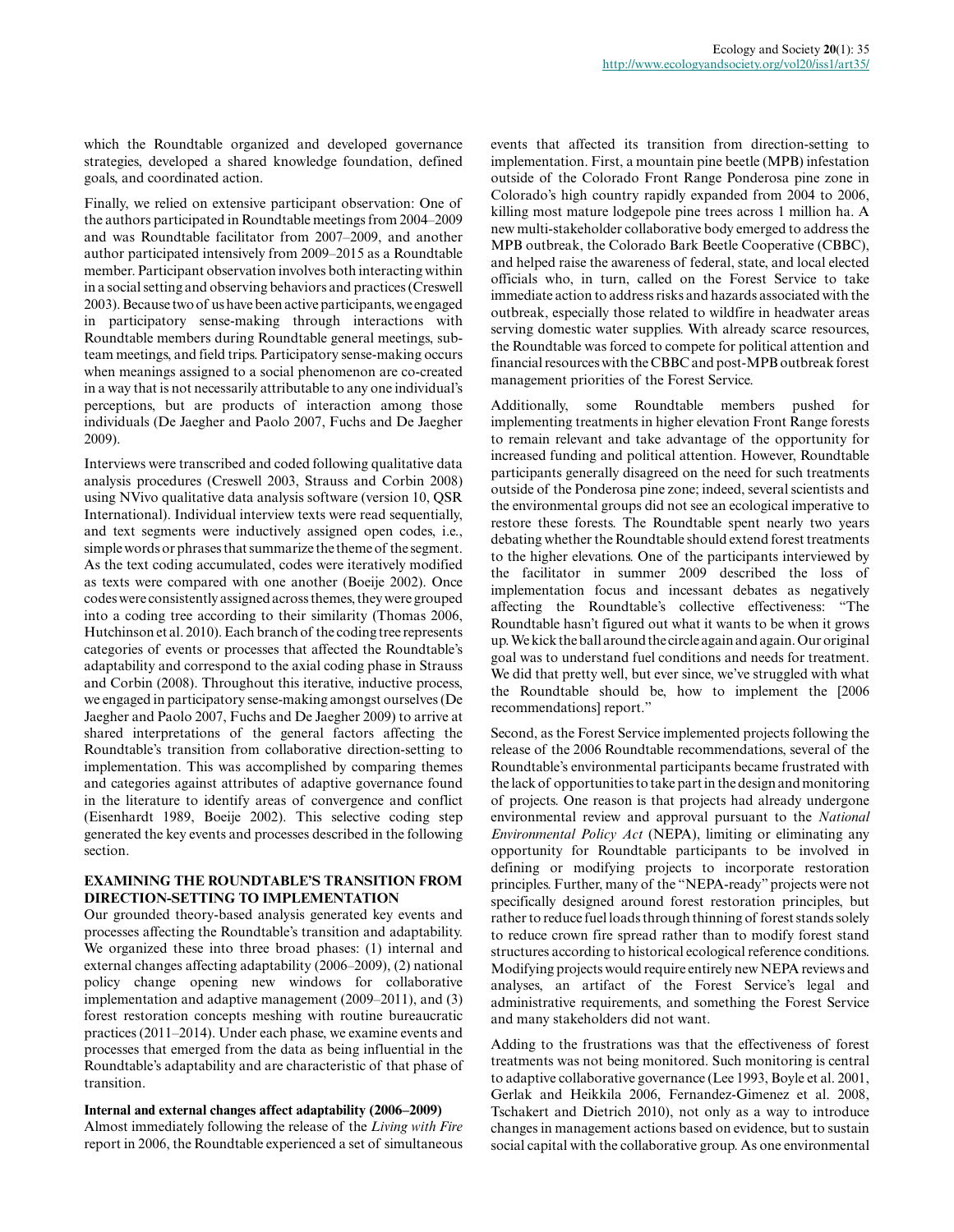which the Roundtable organized and developed governance strategies, developed a shared knowledge foundation, defined goals, and coordinated action.

Finally, we relied on extensive participant observation: One of the authors participated in Roundtable meetings from 2004–2009 and was Roundtable facilitator from 2007–2009, and another author participated intensively from 2009–2015 as a Roundtable member. Participant observation involves both interacting within in a social setting and observing behaviors and practices (Creswell 2003). Because two of us have been active participants, we engaged in participatory sense-making through interactions with Roundtable members during Roundtable general meetings, subteam meetings, and field trips. Participatory sense-making occurs when meanings assigned to a social phenomenon are co-created in a way that is not necessarily attributable to any one individual's perceptions, but are products of interaction among those individuals (De Jaegher and Paolo 2007, Fuchs and De Jaegher 2009).

Interviews were transcribed and coded following qualitative data analysis procedures (Creswell 2003, Strauss and Corbin 2008) using NVivo qualitative data analysis software (version 10, QSR International). Individual interview texts were read sequentially, and text segments were inductively assigned open codes, i.e., simple words or phrases that summarize the theme of the segment. As the text coding accumulated, codes were iteratively modified as texts were compared with one another (Boeije 2002). Once codes were consistently assigned across themes, they were grouped into a coding tree according to their similarity (Thomas 2006, Hutchinson et al. 2010). Each branch of the coding tree represents categories of events or processes that affected the Roundtable's adaptability and correspond to the axial coding phase in Strauss and Corbin (2008). Throughout this iterative, inductive process, we engaged in participatory sense-making amongst ourselves (De Jaegher and Paolo 2007, Fuchs and De Jaegher 2009) to arrive at shared interpretations of the general factors affecting the Roundtable's transition from collaborative direction-setting to implementation. This was accomplished by comparing themes and categories against attributes of adaptive governance found in the literature to identify areas of convergence and conflict (Eisenhardt 1989, Boeije 2002). This selective coding step generated the key events and processes described in the following section.

## **EXAMINING THE ROUNDTABLE'S TRANSITION FROM DIRECTION-SETTING TO IMPLEMENTATION**

Our grounded theory-based analysis generated key events and processes affecting the Roundtable's transition and adaptability. We organized these into three broad phases: (1) internal and external changes affecting adaptability (2006–2009), (2) national policy change opening new windows for collaborative implementation and adaptive management (2009–2011), and (3) forest restoration concepts meshing with routine bureaucratic practices (2011–2014). Under each phase, we examine events and processes that emerged from the data as being influential in the Roundtable's adaptability and are characteristic of that phase of transition.

**Internal and external changes affect adaptability (2006–2009)**

Almost immediately following the release of the *Living with Fire* report in 2006, the Roundtable experienced a set of simultaneous events that affected its transition from direction-setting to implementation. First, a mountain pine beetle (MPB) infestation outside of the Colorado Front Range Ponderosa pine zone in Colorado's high country rapidly expanded from 2004 to 2006, killing most mature lodgepole pine trees across 1 million ha. A new multi-stakeholder collaborative body emerged to address the MPB outbreak, the Colorado Bark Beetle Cooperative (CBBC), and helped raise the awareness of federal, state, and local elected officials who, in turn, called on the Forest Service to take immediate action to address risks and hazards associated with the outbreak, especially those related to wildfire in headwater areas serving domestic water supplies. With already scarce resources, the Roundtable was forced to compete for political attention and financial resources with the CBBC and post-MPB outbreak forest management priorities of the Forest Service.

Additionally, some Roundtable members pushed for implementing treatments in higher elevation Front Range forests to remain relevant and take advantage of the opportunity for increased funding and political attention. However, Roundtable participants generally disagreed on the need for such treatments outside of the Ponderosa pine zone; indeed, several scientists and the environmental groups did not see an ecological imperative to restore these forests. The Roundtable spent nearly two years debating whether the Roundtable should extend forest treatments to the higher elevations. One of the participants interviewed by the facilitator in summer 2009 described the loss of implementation focus and incessant debates as negatively affecting the Roundtable's collective effectiveness: "The Roundtable hasn't figured out what it wants to be when it grows up. We kick the ball around the circle again and again. Our original goal was to understand fuel conditions and needs for treatment. We did that pretty well, but ever since, we've struggled with what the Roundtable should be, how to implement the [2006 recommendations] report."

Second, as the Forest Service implemented projects following the release of the 2006 Roundtable recommendations, several of the Roundtable's environmental participants became frustrated with the lack of opportunities to take part in the design and monitoring of projects. One reason is that projects had already undergone environmental review and approval pursuant to the *National Environmental Policy Act* (NEPA), limiting or eliminating any opportunity for Roundtable participants to be involved in defining or modifying projects to incorporate restoration principles. Further, many of the "NEPA-ready" projects were not specifically designed around forest restoration principles, but rather to reduce fuel loads through thinning of forest stands solely to reduce crown fire spread rather than to modify forest stand structures according to historical ecological reference conditions. Modifying projects would require entirely new NEPA reviews and analyses, an artifact of the Forest Service's legal and administrative requirements, and something the Forest Service and many stakeholders did not want.

Adding to the frustrations was that the effectiveness of forest treatments was not being monitored. Such monitoring is central to adaptive collaborative governance (Lee 1993, Boyle et al. 2001, Gerlak and Heikkila 2006, Fernandez-Gimenez et al. 2008, Tschakert and Dietrich 2010), not only as a way to introduce changes in management actions based on evidence, but to sustain social capital with the collaborative group. As one environmental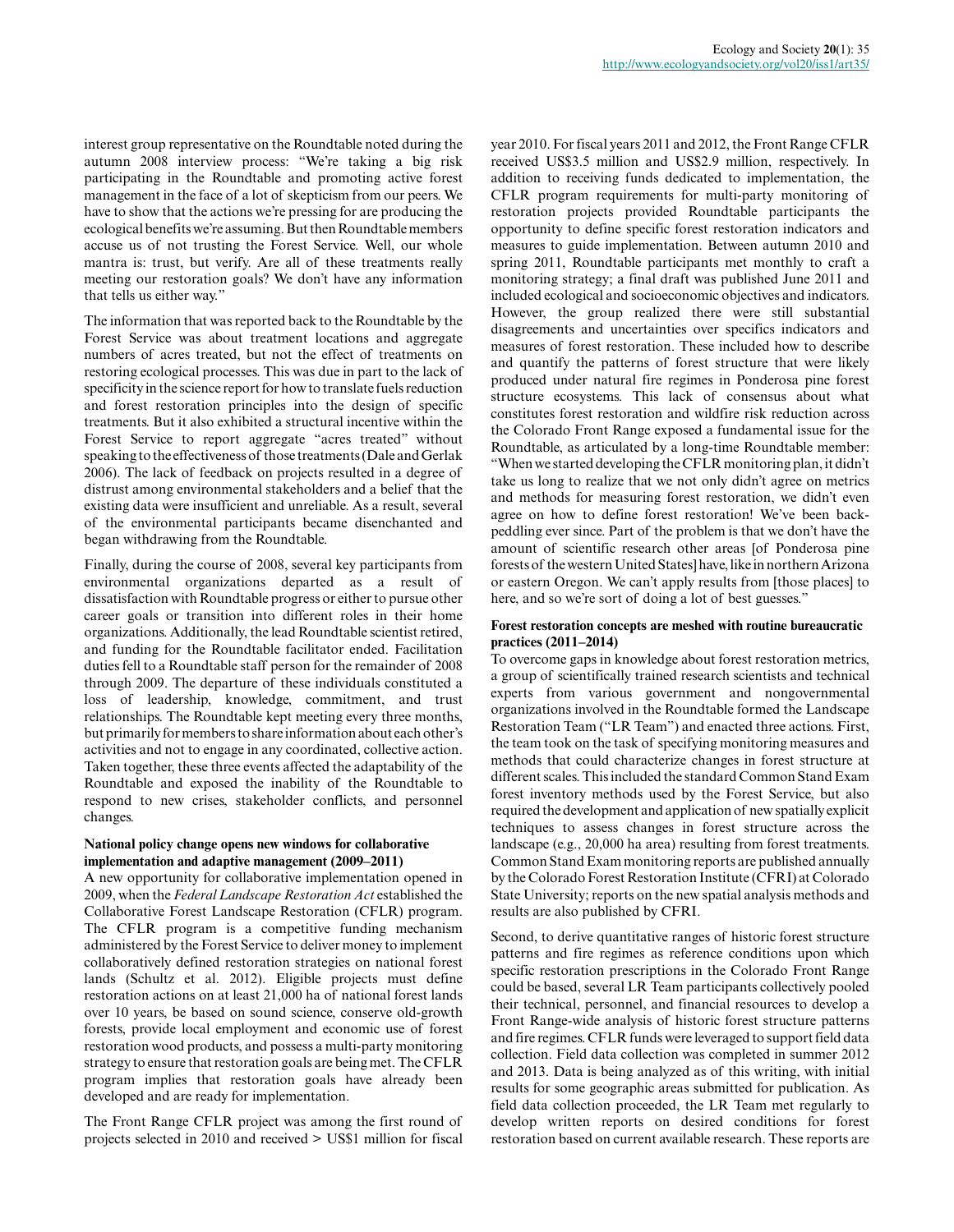interest group representative on the Roundtable noted during the autumn 2008 interview process: "We're taking a big risk participating in the Roundtable and promoting active forest management in the face of a lot of skepticism from our peers. We have to show that the actions we're pressing for are producing the ecological benefits we're assuming. But then Roundtable members accuse us of not trusting the Forest Service. Well, our whole mantra is: trust, but verify. Are all of these treatments really meeting our restoration goals? We don't have any information that tells us either way."

The information that was reported back to the Roundtable by the Forest Service was about treatment locations and aggregate numbers of acres treated, but not the effect of treatments on restoring ecological processes. This was due in part to the lack of specificity in the science report for how to translate fuels reduction and forest restoration principles into the design of specific treatments. But it also exhibited a structural incentive within the Forest Service to report aggregate "acres treated" without speaking to the effectiveness of those treatments (Dale and Gerlak 2006). The lack of feedback on projects resulted in a degree of distrust among environmental stakeholders and a belief that the existing data were insufficient and unreliable. As a result, several of the environmental participants became disenchanted and began withdrawing from the Roundtable.

Finally, during the course of 2008, several key participants from environmental organizations departed as a result of dissatisfaction with Roundtable progress or either to pursue other career goals or transition into different roles in their home organizations. Additionally, the lead Roundtable scientist retired, and funding for the Roundtable facilitator ended. Facilitation duties fell to a Roundtable staff person for the remainder of 2008 through 2009. The departure of these individuals constituted a loss of leadership, knowledge, commitment, and trust relationships. The Roundtable kept meeting every three months, but primarily for members to share information about each other's activities and not to engage in any coordinated, collective action. Taken together, these three events affected the adaptability of the Roundtable and exposed the inability of the Roundtable to respond to new crises, stakeholder conflicts, and personnel changes.

#### **National policy change opens new windows for collaborative implementation and adaptive management (2009–2011)**

A new opportunity for collaborative implementation opened in 2009, when the *Federal Landscape Restoration Act* established the Collaborative Forest Landscape Restoration (CFLR) program. The CFLR program is a competitive funding mechanism administered by the Forest Service to deliver money to implement collaboratively defined restoration strategies on national forest lands (Schultz et al. 2012). Eligible projects must define restoration actions on at least 21,000 ha of national forest lands over 10 years, be based on sound science, conserve old-growth forests, provide local employment and economic use of forest restoration wood products, and possess a multi-party monitoring strategy to ensure that restoration goals are being met. The CFLR program implies that restoration goals have already been developed and are ready for implementation.

The Front Range CFLR project was among the first round of projects selected in 2010 and received > US\$1 million for fiscal year 2010. For fiscal years 2011 and 2012, the Front Range CFLR received US\$3.5 million and US\$2.9 million, respectively. In addition to receiving funds dedicated to implementation, the CFLR program requirements for multi-party monitoring of restoration projects provided Roundtable participants the opportunity to define specific forest restoration indicators and measures to guide implementation. Between autumn 2010 and spring 2011, Roundtable participants met monthly to craft a monitoring strategy; a final draft was published June 2011 and included ecological and socioeconomic objectives and indicators. However, the group realized there were still substantial disagreements and uncertainties over specifics indicators and measures of forest restoration. These included how to describe and quantify the patterns of forest structure that were likely produced under natural fire regimes in Ponderosa pine forest structure ecosystems. This lack of consensus about what constitutes forest restoration and wildfire risk reduction across the Colorado Front Range exposed a fundamental issue for the Roundtable, as articulated by a long-time Roundtable member: "When we started developing the CFLR monitoring plan, it didn't take us long to realize that we not only didn't agree on metrics and methods for measuring forest restoration, we didn't even agree on how to define forest restoration! We've been backpeddling ever since. Part of the problem is that we don't have the amount of scientific research other areas [of Ponderosa pine forests of the western United States] have, like in northern Arizona or eastern Oregon. We can't apply results from [those places] to here, and so we're sort of doing a lot of best guesses."

#### **Forest restoration concepts are meshed with routine bureaucratic practices (2011–2014)**

To overcome gaps in knowledge about forest restoration metrics, a group of scientifically trained research scientists and technical experts from various government and nongovernmental organizations involved in the Roundtable formed the Landscape Restoration Team ("LR Team") and enacted three actions. First, the team took on the task of specifying monitoring measures and methods that could characterize changes in forest structure at different scales. This included the standard Common Stand Exam forest inventory methods used by the Forest Service, but also required the development and application of new spatially explicit techniques to assess changes in forest structure across the landscape (e.g., 20,000 ha area) resulting from forest treatments. Common Stand Exam monitoring reports are published annually by the Colorado Forest Restoration Institute (CFRI) at Colorado State University; reports on the new spatial analysis methods and results are also published by CFRI.

Second, to derive quantitative ranges of historic forest structure patterns and fire regimes as reference conditions upon which specific restoration prescriptions in the Colorado Front Range could be based, several LR Team participants collectively pooled their technical, personnel, and financial resources to develop a Front Range-wide analysis of historic forest structure patterns and fire regimes. CFLR funds were leveraged to support field data collection. Field data collection was completed in summer 2012 and 2013. Data is being analyzed as of this writing, with initial results for some geographic areas submitted for publication. As field data collection proceeded, the LR Team met regularly to develop written reports on desired conditions for forest restoration based on current available research. These reports are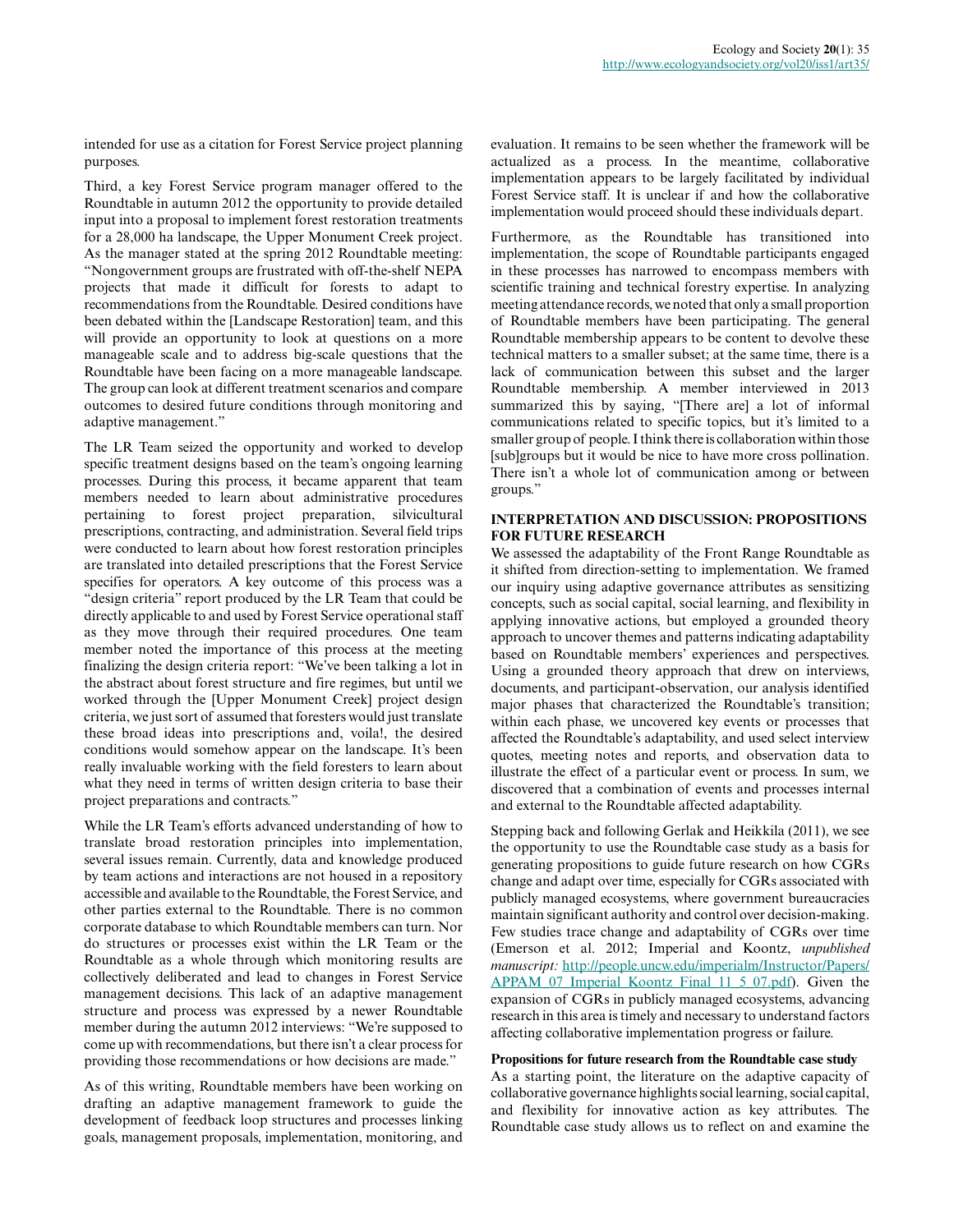intended for use as a citation for Forest Service project planning purposes.

Third, a key Forest Service program manager offered to the Roundtable in autumn 2012 the opportunity to provide detailed input into a proposal to implement forest restoration treatments for a 28,000 ha landscape, the Upper Monument Creek project. As the manager stated at the spring 2012 Roundtable meeting: "Nongovernment groups are frustrated with off-the-shelf NEPA projects that made it difficult for forests to adapt to recommendations from the Roundtable. Desired conditions have been debated within the [Landscape Restoration] team, and this will provide an opportunity to look at questions on a more manageable scale and to address big-scale questions that the Roundtable have been facing on a more manageable landscape. The group can look at different treatment scenarios and compare outcomes to desired future conditions through monitoring and adaptive management."

The LR Team seized the opportunity and worked to develop specific treatment designs based on the team's ongoing learning processes. During this process, it became apparent that team members needed to learn about administrative procedures pertaining to forest project preparation, silvicultural prescriptions, contracting, and administration. Several field trips were conducted to learn about how forest restoration principles are translated into detailed prescriptions that the Forest Service specifies for operators. A key outcome of this process was a "design criteria" report produced by the LR Team that could be directly applicable to and used by Forest Service operational staff as they move through their required procedures. One team member noted the importance of this process at the meeting finalizing the design criteria report: "We've been talking a lot in the abstract about forest structure and fire regimes, but until we worked through the [Upper Monument Creek] project design criteria, we just sort of assumed that foresters would just translate these broad ideas into prescriptions and, voila!, the desired conditions would somehow appear on the landscape. It's been really invaluable working with the field foresters to learn about what they need in terms of written design criteria to base their project preparations and contracts."

While the LR Team's efforts advanced understanding of how to translate broad restoration principles into implementation, several issues remain. Currently, data and knowledge produced by team actions and interactions are not housed in a repository accessible and available to the Roundtable, the Forest Service, and other parties external to the Roundtable. There is no common corporate database to which Roundtable members can turn. Nor do structures or processes exist within the LR Team or the Roundtable as a whole through which monitoring results are collectively deliberated and lead to changes in Forest Service management decisions. This lack of an adaptive management structure and process was expressed by a newer Roundtable member during the autumn 2012 interviews: "We're supposed to come up with recommendations, but there isn't a clear process for providing those recommendations or how decisions are made."

As of this writing, Roundtable members have been working on drafting an adaptive management framework to guide the development of feedback loop structures and processes linking goals, management proposals, implementation, monitoring, and

evaluation. It remains to be seen whether the framework will be actualized as a process. In the meantime, collaborative implementation appears to be largely facilitated by individual Forest Service staff. It is unclear if and how the collaborative implementation would proceed should these individuals depart.

Furthermore, as the Roundtable has transitioned into implementation, the scope of Roundtable participants engaged in these processes has narrowed to encompass members with scientific training and technical forestry expertise. In analyzing meeting attendance records, we noted that only a small proportion of Roundtable members have been participating. The general Roundtable membership appears to be content to devolve these technical matters to a smaller subset; at the same time, there is a lack of communication between this subset and the larger Roundtable membership. A member interviewed in 2013 summarized this by saying, "[There are] a lot of informal communications related to specific topics, but it's limited to a smaller group of people. I think there is collaboration within those [sub]groups but it would be nice to have more cross pollination. There isn't a whole lot of communication among or between groups."

#### **INTERPRETATION AND DISCUSSION: PROPOSITIONS FOR FUTURE RESEARCH**

We assessed the adaptability of the Front Range Roundtable as it shifted from direction-setting to implementation. We framed our inquiry using adaptive governance attributes as sensitizing concepts, such as social capital, social learning, and flexibility in applying innovative actions, but employed a grounded theory approach to uncover themes and patterns indicating adaptability based on Roundtable members' experiences and perspectives. Using a grounded theory approach that drew on interviews, documents, and participant-observation, our analysis identified major phases that characterized the Roundtable's transition; within each phase, we uncovered key events or processes that affected the Roundtable's adaptability, and used select interview quotes, meeting notes and reports, and observation data to illustrate the effect of a particular event or process. In sum, we discovered that a combination of events and processes internal and external to the Roundtable affected adaptability.

Stepping back and following Gerlak and Heikkila (2011), we see the opportunity to use the Roundtable case study as a basis for generating propositions to guide future research on how CGRs change and adapt over time, especially for CGRs associated with publicly managed ecosystems, where government bureaucracies maintain significant authority and control over decision-making. Few studies trace change and adaptability of CGRs over time (Emerson et al. 2012; Imperial and Koontz, *unpublished manuscript:* [http://people.uncw.edu/imperialm/Instructor/Papers/](http://people.uncw.edu/imperialm/Instructor/Papers/APPAM_07_Imperial_Koontz_Final_11_5_07.pdf) [APPAM\\_07\\_Imperial\\_Koontz\\_Final\\_11\\_5\\_07.pdf\)](http://people.uncw.edu/imperialm/Instructor/Papers/APPAM_07_Imperial_Koontz_Final_11_5_07.pdf). Given the expansion of CGRs in publicly managed ecosystems, advancing research in this area is timely and necessary to understand factors affecting collaborative implementation progress or failure.

#### **Propositions for future research from the Roundtable case study**

As a starting point, the literature on the adaptive capacity of collaborative governance highlights social learning, social capital, and flexibility for innovative action as key attributes. The Roundtable case study allows us to reflect on and examine the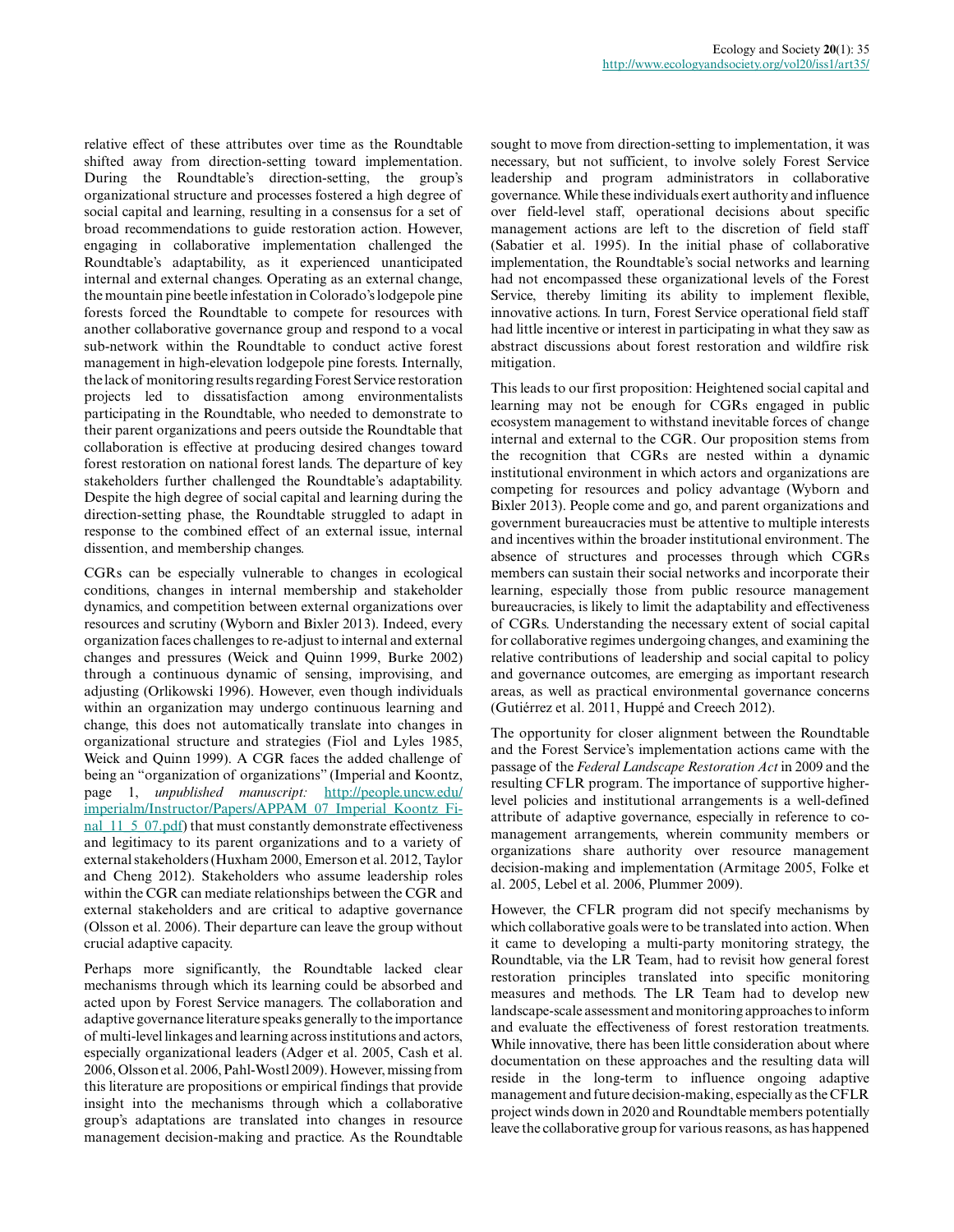relative effect of these attributes over time as the Roundtable shifted away from direction-setting toward implementation. During the Roundtable's direction-setting, the group's organizational structure and processes fostered a high degree of social capital and learning, resulting in a consensus for a set of broad recommendations to guide restoration action. However, engaging in collaborative implementation challenged the Roundtable's adaptability, as it experienced unanticipated internal and external changes. Operating as an external change, the mountain pine beetle infestation in Colorado's lodgepole pine forests forced the Roundtable to compete for resources with another collaborative governance group and respond to a vocal sub-network within the Roundtable to conduct active forest management in high-elevation lodgepole pine forests. Internally, the lack of monitoring results regarding Forest Service restoration projects led to dissatisfaction among environmentalists participating in the Roundtable, who needed to demonstrate to their parent organizations and peers outside the Roundtable that collaboration is effective at producing desired changes toward forest restoration on national forest lands. The departure of key stakeholders further challenged the Roundtable's adaptability. Despite the high degree of social capital and learning during the direction-setting phase, the Roundtable struggled to adapt in response to the combined effect of an external issue, internal dissention, and membership changes.

CGRs can be especially vulnerable to changes in ecological conditions, changes in internal membership and stakeholder dynamics, and competition between external organizations over resources and scrutiny (Wyborn and Bixler 2013). Indeed, every organization faces challenges to re-adjust to internal and external changes and pressures (Weick and Quinn 1999, Burke 2002) through a continuous dynamic of sensing, improvising, and adjusting (Orlikowski 1996). However, even though individuals within an organization may undergo continuous learning and change, this does not automatically translate into changes in organizational structure and strategies (Fiol and Lyles 1985, Weick and Quinn 1999). A CGR faces the added challenge of being an "organization of organizations" (Imperial and Koontz, page 1, *unpublished manuscript:* [http://people.uncw.edu/](http://people.uncw.edu/imperialm/Instructor/Papers/APPAM_07_Imperial_Koontz_Final_11_5_07.pdf) [imperialm/Instructor/Papers/APPAM\\_07\\_Imperial\\_Koontz\\_Fi](http://people.uncw.edu/imperialm/Instructor/Papers/APPAM_07_Imperial_Koontz_Final_11_5_07.pdf)[nal\\_11\\_5\\_07.pdf](http://people.uncw.edu/imperialm/Instructor/Papers/APPAM_07_Imperial_Koontz_Final_11_5_07.pdf)) that must constantly demonstrate effectiveness and legitimacy to its parent organizations and to a variety of external stakeholders (Huxham 2000, Emerson et al. 2012, Taylor and Cheng 2012). Stakeholders who assume leadership roles within the CGR can mediate relationships between the CGR and external stakeholders and are critical to adaptive governance (Olsson et al. 2006). Their departure can leave the group without crucial adaptive capacity.

Perhaps more significantly, the Roundtable lacked clear mechanisms through which its learning could be absorbed and acted upon by Forest Service managers. The collaboration and adaptive governance literature speaks generally to the importance of multi-level linkages and learning across institutions and actors, especially organizational leaders (Adger et al. 2005, Cash et al. 2006, Olsson et al. 2006, Pahl-Wostl 2009). However, missing from this literature are propositions or empirical findings that provide insight into the mechanisms through which a collaborative group's adaptations are translated into changes in resource management decision-making and practice. As the Roundtable

sought to move from direction-setting to implementation, it was necessary, but not sufficient, to involve solely Forest Service leadership and program administrators in collaborative governance. While these individuals exert authority and influence over field-level staff, operational decisions about specific management actions are left to the discretion of field staff (Sabatier et al. 1995). In the initial phase of collaborative implementation, the Roundtable's social networks and learning had not encompassed these organizational levels of the Forest Service, thereby limiting its ability to implement flexible, innovative actions. In turn, Forest Service operational field staff had little incentive or interest in participating in what they saw as abstract discussions about forest restoration and wildfire risk mitigation.

This leads to our first proposition: Heightened social capital and learning may not be enough for CGRs engaged in public ecosystem management to withstand inevitable forces of change internal and external to the CGR. Our proposition stems from the recognition that CGRs are nested within a dynamic institutional environment in which actors and organizations are competing for resources and policy advantage (Wyborn and Bixler 2013). People come and go, and parent organizations and government bureaucracies must be attentive to multiple interests and incentives within the broader institutional environment. The absence of structures and processes through which CGRs members can sustain their social networks and incorporate their learning, especially those from public resource management bureaucracies, is likely to limit the adaptability and effectiveness of CGRs. Understanding the necessary extent of social capital for collaborative regimes undergoing changes, and examining the relative contributions of leadership and social capital to policy and governance outcomes, are emerging as important research areas, as well as practical environmental governance concerns (Gutiérrez et al. 2011, Huppé and Creech 2012).

The opportunity for closer alignment between the Roundtable and the Forest Service's implementation actions came with the passage of the *Federal Landscape Restoration Act* in 2009 and the resulting CFLR program. The importance of supportive higherlevel policies and institutional arrangements is a well-defined attribute of adaptive governance, especially in reference to comanagement arrangements, wherein community members or organizations share authority over resource management decision-making and implementation (Armitage 2005, Folke et al. 2005, Lebel et al. 2006, Plummer 2009).

However, the CFLR program did not specify mechanisms by which collaborative goals were to be translated into action. When it came to developing a multi-party monitoring strategy, the Roundtable, via the LR Team, had to revisit how general forest restoration principles translated into specific monitoring measures and methods. The LR Team had to develop new landscape-scale assessment and monitoring approaches to inform and evaluate the effectiveness of forest restoration treatments. While innovative, there has been little consideration about where documentation on these approaches and the resulting data will reside in the long-term to influence ongoing adaptive management and future decision-making, especially as the CFLR project winds down in 2020 and Roundtable members potentially leave the collaborative group for various reasons, as has happened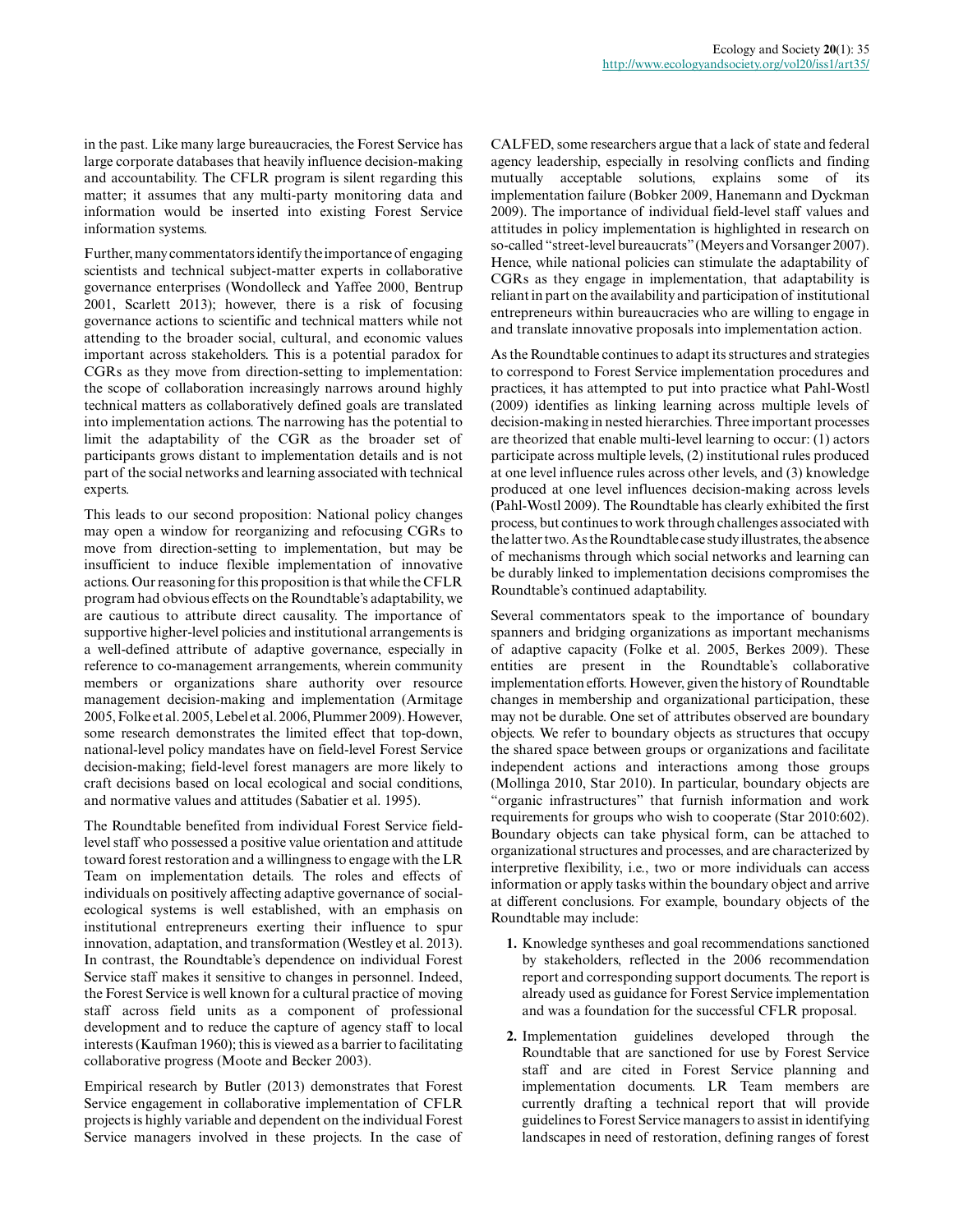in the past. Like many large bureaucracies, the Forest Service has large corporate databases that heavily influence decision-making and accountability. The CFLR program is silent regarding this matter; it assumes that any multi-party monitoring data and information would be inserted into existing Forest Service information systems.

Further, many commentators identify the importance of engaging scientists and technical subject-matter experts in collaborative governance enterprises (Wondolleck and Yaffee 2000, Bentrup 2001, Scarlett 2013); however, there is a risk of focusing governance actions to scientific and technical matters while not attending to the broader social, cultural, and economic values important across stakeholders. This is a potential paradox for CGRs as they move from direction-setting to implementation: the scope of collaboration increasingly narrows around highly technical matters as collaboratively defined goals are translated into implementation actions. The narrowing has the potential to limit the adaptability of the CGR as the broader set of participants grows distant to implementation details and is not part of the social networks and learning associated with technical experts.

This leads to our second proposition: National policy changes may open a window for reorganizing and refocusing CGRs to move from direction-setting to implementation, but may be insufficient to induce flexible implementation of innovative actions. Our reasoning for this proposition is that while the CFLR program had obvious effects on the Roundtable's adaptability, we are cautious to attribute direct causality. The importance of supportive higher-level policies and institutional arrangements is a well-defined attribute of adaptive governance, especially in reference to co-management arrangements, wherein community members or organizations share authority over resource management decision-making and implementation (Armitage 2005, Folke et al. 2005, Lebel et al. 2006, Plummer 2009). However, some research demonstrates the limited effect that top-down, national-level policy mandates have on field-level Forest Service decision-making; field-level forest managers are more likely to craft decisions based on local ecological and social conditions, and normative values and attitudes (Sabatier et al. 1995).

The Roundtable benefited from individual Forest Service fieldlevel staff who possessed a positive value orientation and attitude toward forest restoration and a willingness to engage with the LR Team on implementation details. The roles and effects of individuals on positively affecting adaptive governance of socialecological systems is well established, with an emphasis on institutional entrepreneurs exerting their influence to spur innovation, adaptation, and transformation (Westley et al. 2013). In contrast, the Roundtable's dependence on individual Forest Service staff makes it sensitive to changes in personnel. Indeed, the Forest Service is well known for a cultural practice of moving staff across field units as a component of professional development and to reduce the capture of agency staff to local interests (Kaufman 1960); this is viewed as a barrier to facilitating collaborative progress (Moote and Becker 2003).

Empirical research by Butler (2013) demonstrates that Forest Service engagement in collaborative implementation of CFLR projects is highly variable and dependent on the individual Forest Service managers involved in these projects. In the case of

CALFED, some researchers argue that a lack of state and federal agency leadership, especially in resolving conflicts and finding mutually acceptable solutions, explains some of its implementation failure (Bobker 2009, Hanemann and Dyckman 2009). The importance of individual field-level staff values and attitudes in policy implementation is highlighted in research on so-called "street-level bureaucrats" (Meyers and Vorsanger 2007). Hence, while national policies can stimulate the adaptability of CGRs as they engage in implementation, that adaptability is reliant in part on the availability and participation of institutional entrepreneurs within bureaucracies who are willing to engage in and translate innovative proposals into implementation action.

As the Roundtable continues to adapt its structures and strategies to correspond to Forest Service implementation procedures and practices, it has attempted to put into practice what Pahl-Wostl (2009) identifies as linking learning across multiple levels of decision-making in nested hierarchies. Three important processes are theorized that enable multi-level learning to occur: (1) actors participate across multiple levels, (2) institutional rules produced at one level influence rules across other levels, and (3) knowledge produced at one level influences decision-making across levels (Pahl-Wostl 2009). The Roundtable has clearly exhibited the first process, but continues to work through challenges associated with the latter two. As the Roundtable case study illustrates, the absence of mechanisms through which social networks and learning can be durably linked to implementation decisions compromises the Roundtable's continued adaptability.

Several commentators speak to the importance of boundary spanners and bridging organizations as important mechanisms of adaptive capacity (Folke et al. 2005, Berkes 2009). These entities are present in the Roundtable's collaborative implementation efforts. However, given the history of Roundtable changes in membership and organizational participation, these may not be durable. One set of attributes observed are boundary objects. We refer to boundary objects as structures that occupy the shared space between groups or organizations and facilitate independent actions and interactions among those groups (Mollinga 2010, Star 2010). In particular, boundary objects are "organic infrastructures" that furnish information and work requirements for groups who wish to cooperate (Star 2010:602). Boundary objects can take physical form, can be attached to organizational structures and processes, and are characterized by interpretive flexibility, i.e., two or more individuals can access information or apply tasks within the boundary object and arrive at different conclusions. For example, boundary objects of the Roundtable may include:

- **1.** Knowledge syntheses and goal recommendations sanctioned by stakeholders, reflected in the 2006 recommendation report and corresponding support documents. The report is already used as guidance for Forest Service implementation and was a foundation for the successful CFLR proposal.
- **2.** Implementation guidelines developed through the Roundtable that are sanctioned for use by Forest Service staff and are cited in Forest Service planning and implementation documents. LR Team members are currently drafting a technical report that will provide guidelines to Forest Service managers to assist in identifying landscapes in need of restoration, defining ranges of forest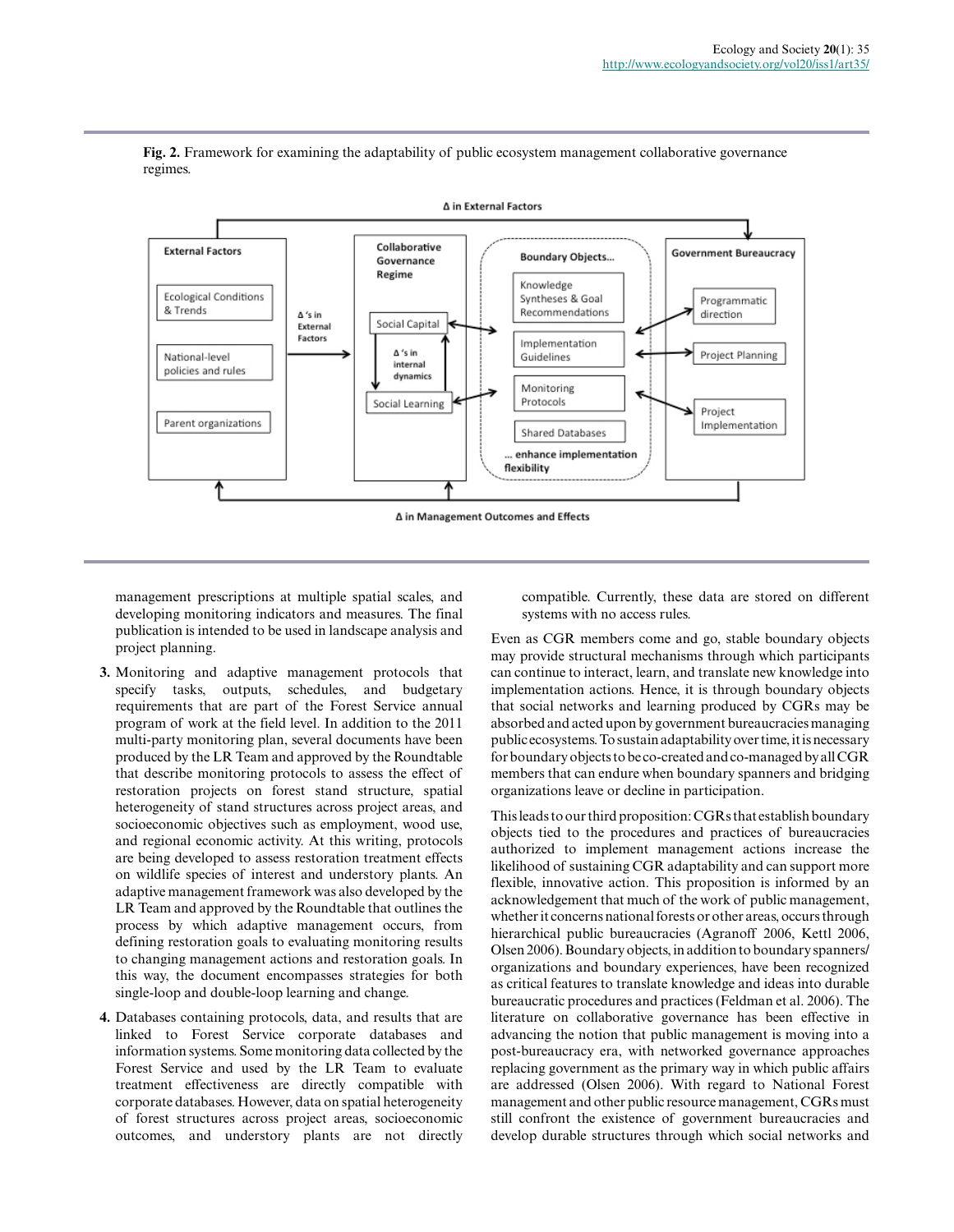

**Fig. 2.** Framework for examining the adaptability of public ecosystem management collaborative governance regimes.

management prescriptions at multiple spatial scales, and developing monitoring indicators and measures. The final publication is intended to be used in landscape analysis and project planning.

- **3.** Monitoring and adaptive management protocols that specify tasks, outputs, schedules, and budgetary requirements that are part of the Forest Service annual program of work at the field level. In addition to the 2011 multi-party monitoring plan, several documents have been produced by the LR Team and approved by the Roundtable that describe monitoring protocols to assess the effect of restoration projects on forest stand structure, spatial heterogeneity of stand structures across project areas, and socioeconomic objectives such as employment, wood use, and regional economic activity. At this writing, protocols are being developed to assess restoration treatment effects on wildlife species of interest and understory plants. An adaptive management framework was also developed by the LR Team and approved by the Roundtable that outlines the process by which adaptive management occurs, from defining restoration goals to evaluating monitoring results to changing management actions and restoration goals. In this way, the document encompasses strategies for both single-loop and double-loop learning and change.
- **4.** Databases containing protocols, data, and results that are linked to Forest Service corporate databases and information systems. Some monitoring data collected by the Forest Service and used by the LR Team to evaluate treatment effectiveness are directly compatible with corporate databases. However, data on spatial heterogeneity of forest structures across project areas, socioeconomic outcomes, and understory plants are not directly

compatible. Currently, these data are stored on different systems with no access rules.

Even as CGR members come and go, stable boundary objects may provide structural mechanisms through which participants can continue to interact, learn, and translate new knowledge into implementation actions. Hence, it is through boundary objects that social networks and learning produced by CGRs may be absorbed and acted upon by government bureaucracies managing public ecosystems. To sustain adaptability over time, it is necessary for boundary objects to be co-created and co-managed by all CGR members that can endure when boundary spanners and bridging organizations leave or decline in participation.

This leads to our third proposition: CGRs that establish boundary objects tied to the procedures and practices of bureaucracies authorized to implement management actions increase the likelihood of sustaining CGR adaptability and can support more flexible, innovative action. This proposition is informed by an acknowledgement that much of the work of public management, whether it concerns national forests or other areas, occurs through hierarchical public bureaucracies (Agranoff 2006, Kettl 2006, Olsen 2006). Boundary objects, in addition to boundary spanners/ organizations and boundary experiences, have been recognized as critical features to translate knowledge and ideas into durable bureaucratic procedures and practices (Feldman et al. 2006). The literature on collaborative governance has been effective in advancing the notion that public management is moving into a post-bureaucracy era, with networked governance approaches replacing government as the primary way in which public affairs are addressed (Olsen 2006). With regard to National Forest management and other public resource management, CGRs must still confront the existence of government bureaucracies and develop durable structures through which social networks and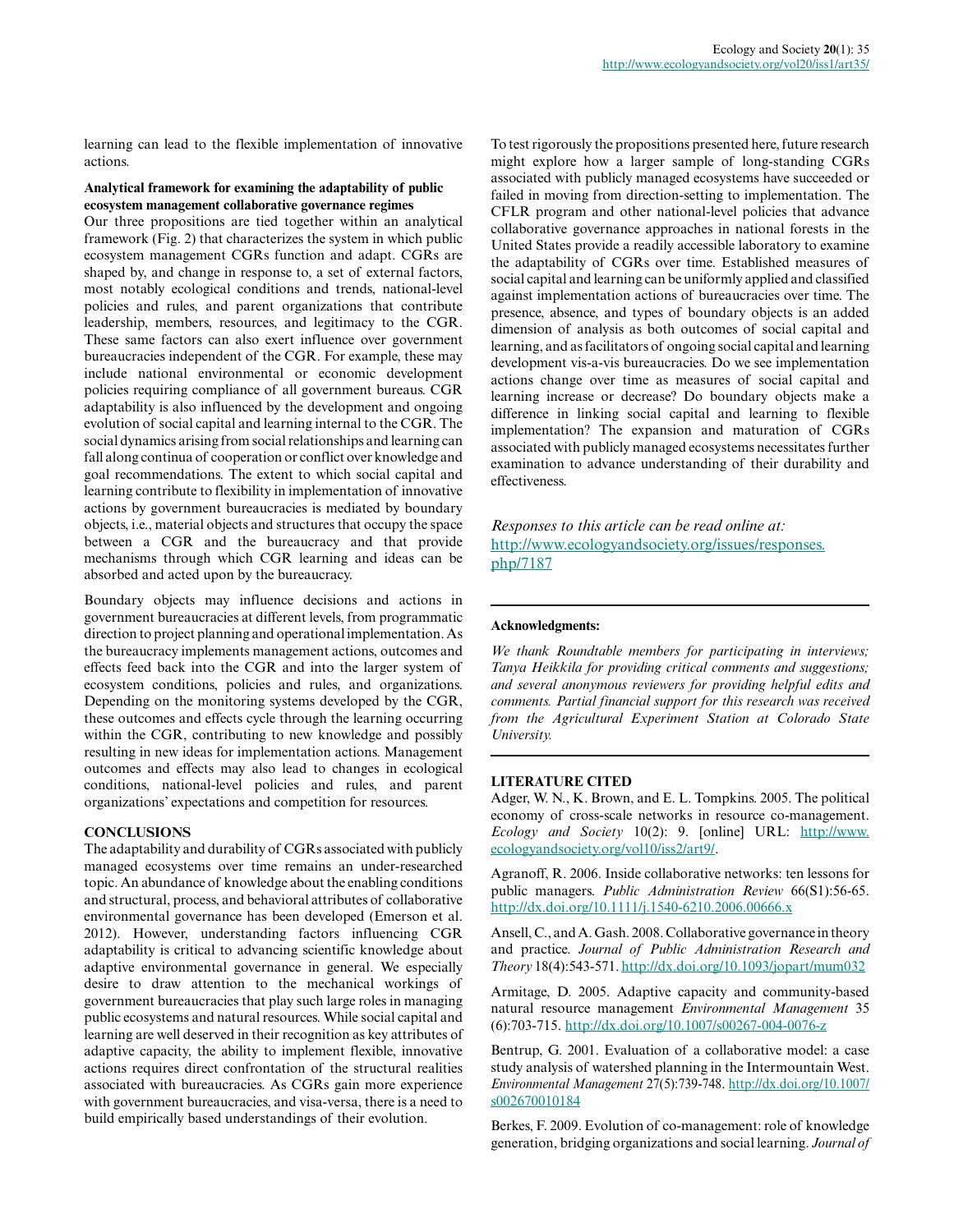learning can lead to the flexible implementation of innovative actions.

#### **Analytical framework for examining the adaptability of public ecosystem management collaborative governance regimes**

Our three propositions are tied together within an analytical framework (Fig. 2) that characterizes the system in which public ecosystem management CGRs function and adapt. CGRs are shaped by, and change in response to, a set of external factors, most notably ecological conditions and trends, national-level policies and rules, and parent organizations that contribute leadership, members, resources, and legitimacy to the CGR. These same factors can also exert influence over government bureaucracies independent of the CGR. For example, these may include national environmental or economic development policies requiring compliance of all government bureaus. CGR adaptability is also influenced by the development and ongoing evolution of social capital and learning internal to the CGR. The social dynamics arising from social relationships and learning can fall along continua of cooperation or conflict over knowledge and goal recommendations. The extent to which social capital and learning contribute to flexibility in implementation of innovative actions by government bureaucracies is mediated by boundary objects, i.e., material objects and structures that occupy the space between a CGR and the bureaucracy and that provide mechanisms through which CGR learning and ideas can be absorbed and acted upon by the bureaucracy.

Boundary objects may influence decisions and actions in government bureaucracies at different levels, from programmatic direction to project planning and operational implementation. As the bureaucracy implements management actions, outcomes and effects feed back into the CGR and into the larger system of ecosystem conditions, policies and rules, and organizations. Depending on the monitoring systems developed by the CGR, these outcomes and effects cycle through the learning occurring within the CGR, contributing to new knowledge and possibly resulting in new ideas for implementation actions. Management outcomes and effects may also lead to changes in ecological conditions, national-level policies and rules, and parent organizations' expectations and competition for resources.

#### **CONCLUSIONS**

The adaptability and durability of CGRs associated with publicly managed ecosystems over time remains an under-researched topic. An abundance of knowledge about the enabling conditions and structural, process, and behavioral attributes of collaborative environmental governance has been developed (Emerson et al. 2012). However, understanding factors influencing CGR adaptability is critical to advancing scientific knowledge about adaptive environmental governance in general. We especially desire to draw attention to the mechanical workings of government bureaucracies that play such large roles in managing public ecosystems and natural resources. While social capital and learning are well deserved in their recognition as key attributes of adaptive capacity, the ability to implement flexible, innovative actions requires direct confrontation of the structural realities associated with bureaucracies. As CGRs gain more experience with government bureaucracies, and visa-versa, there is a need to build empirically based understandings of their evolution.

To test rigorously the propositions presented here, future research might explore how a larger sample of long-standing CGRs associated with publicly managed ecosystems have succeeded or failed in moving from direction-setting to implementation. The CFLR program and other national-level policies that advance collaborative governance approaches in national forests in the United States provide a readily accessible laboratory to examine the adaptability of CGRs over time. Established measures of social capital and learning can be uniformly applied and classified against implementation actions of bureaucracies over time. The presence, absence, and types of boundary objects is an added dimension of analysis as both outcomes of social capital and learning, and as facilitators of ongoing social capital and learning development vis-a-vis bureaucracies. Do we see implementation actions change over time as measures of social capital and learning increase or decrease? Do boundary objects make a difference in linking social capital and learning to flexible implementation? The expansion and maturation of CGRs associated with publicly managed ecosystems necessitates further examination to advance understanding of their durability and effectiveness.

*Responses to this article can be read online at:* [http://www.ecologyandsociety.org/issues/responses.](http://www.ecologyandsociety.org/issues/responses.php/7187) [php/7187](http://www.ecologyandsociety.org/issues/responses.php/7187)

#### **Acknowledgments:**

*We thank Roundtable members for participating in interviews; Tanya Heikkila for providing critical comments and suggestions; and several anonymous reviewers for providing helpful edits and comments. Partial financial support for this research was received from the Agricultural Experiment Station at Colorado State University.*

#### **LITERATURE CITED**

Adger, W. N., K. Brown, and E. L. Tompkins. 2005. The political economy of cross-scale networks in resource co-management. *Ecology and Society* 10(2): 9. [online] URL: [http://www.](http://www.ecologyandsociety.org/vol10/iss2/art9/) [ecologyandsociety.org/vol10/iss2/art9/.](http://www.ecologyandsociety.org/vol10/iss2/art9/)

Agranoff, R. 2006. Inside collaborative networks: ten lessons for public managers. *Public Administration Review* 66(S1):56-65. <http://dx.doi.org/10.1111/j.1540-6210.2006.00666.x>

Ansell, C., and A. Gash. 2008. Collaborative governance in theory and practice. *Journal of Public Administration Research and Theory* 18(4):543-571.<http://dx.doi.org/10.1093/jopart/mum032>

Armitage, D. 2005. Adaptive capacity and community-based natural resource management *Environmental Management* 35 (6):703-715. <http://dx.doi.org/10.1007/s00267-004-0076-z>

Bentrup, G. 2001. Evaluation of a collaborative model: a case study analysis of watershed planning in the Intermountain West. *Environmental Management* 27(5):739-748. [http://dx.doi.org/10.1007/](http://dx.doi.org/10.1007/s002670010184) [s002670010184](http://dx.doi.org/10.1007/s002670010184)

Berkes, F. 2009. Evolution of co-management: role of knowledge generation, bridging organizations and social learning. *Journal of*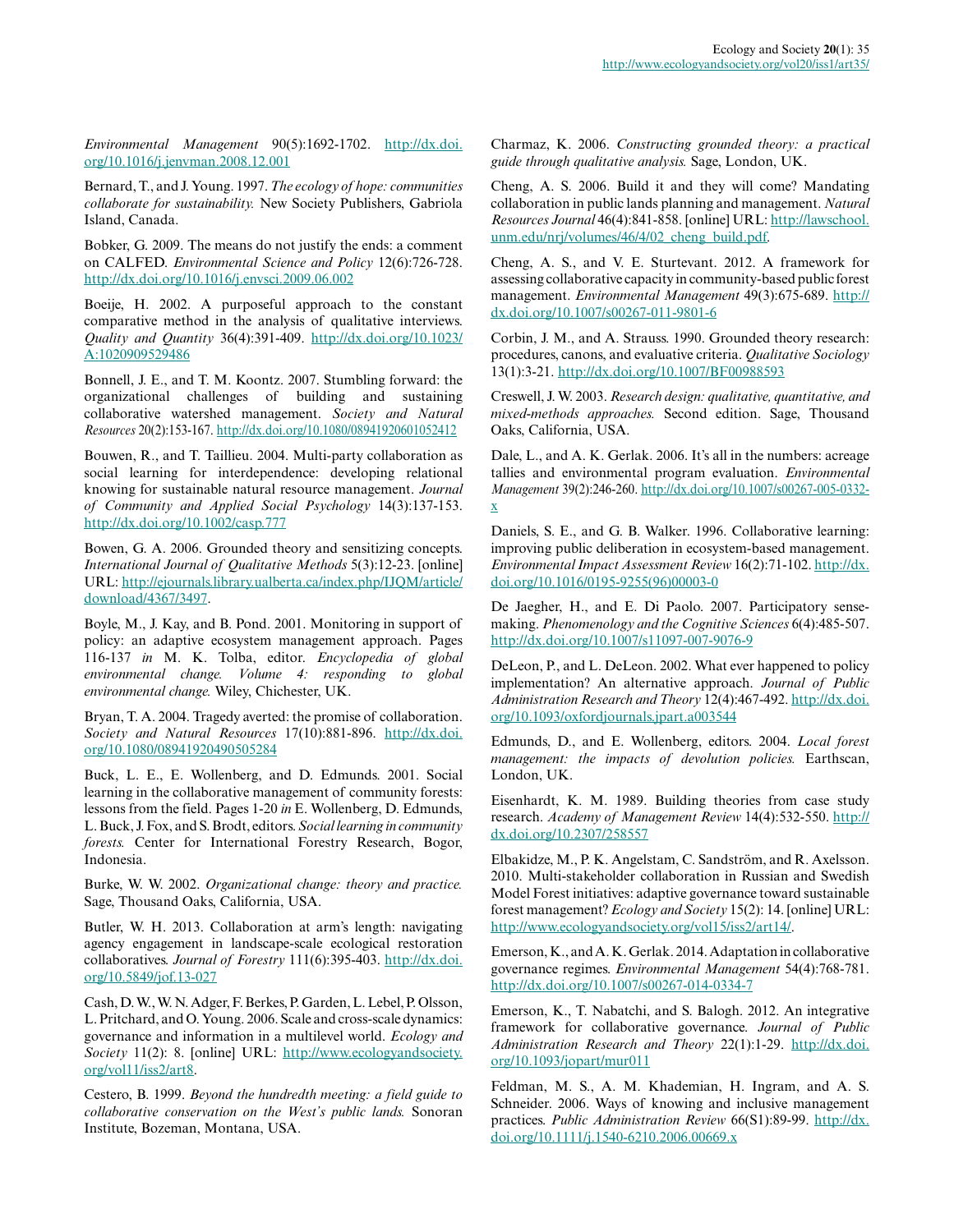*Environmental Management* 90(5):1692-1702. [http://dx.doi.](http://dx.doi.org/10.1016/j.jenvman.2008.12.001) [org/10.1016/j.jenvman.2008.12.001](http://dx.doi.org/10.1016/j.jenvman.2008.12.001)

Bernard, T., and J. Young. 1997. *The ecology of hope: communities collaborate for sustainability.* New Society Publishers, Gabriola Island, Canada.

Bobker, G. 2009. The means do not justify the ends: a comment on CALFED. *Environmental Science and Policy* 12(6):726-728. <http://dx.doi.org/10.1016/j.envsci.2009.06.002>

Boeije, H. 2002. A purposeful approach to the constant comparative method in the analysis of qualitative interviews. *Quality and Quantity* 36(4):391-409. [http://dx.doi.org/10.1023/](http://dx.doi.org/10.1023/A:1020909529486) [A:1020909529486](http://dx.doi.org/10.1023/A:1020909529486) 

Bonnell, J. E., and T. M. Koontz. 2007. Stumbling forward: the organizational challenges of building and sustaining collaborative watershed management. *Society and Natural Resources* 20(2):153-167.<http://dx.doi.org/10.1080/08941920601052412>

Bouwen, R., and T. Taillieu. 2004. Multi-party collaboration as social learning for interdependence: developing relational knowing for sustainable natural resource management. *Journal of Community and Applied Social Psychology* 14(3):137-153. <http://dx.doi.org/10.1002/casp.777>

Bowen, G. A. 2006. Grounded theory and sensitizing concepts. *International Journal of Qualitative Methods* 5(3):12-23. [online] URL: [http://ejournals.library.ualberta.ca/index.php/IJQM/article/](http://ejournals.library.ualberta.ca/index.php/IJQM/article/download/4367/3497) [download/4367/3497](http://ejournals.library.ualberta.ca/index.php/IJQM/article/download/4367/3497).

Boyle, M., J. Kay, and B. Pond. 2001. Monitoring in support of policy: an adaptive ecosystem management approach. Pages 116-137 *in* M. K. Tolba, editor. *Encyclopedia of global environmental change. Volume 4: responding to global environmental change.* Wiley, Chichester, UK.

Bryan, T. A. 2004. Tragedy averted: the promise of collaboration. *Society and Natural Resources* 17(10):881-896. [http://dx.doi.](http://dx.doi.org/10.1080/08941920490505284) [org/10.1080/08941920490505284](http://dx.doi.org/10.1080/08941920490505284) 

Buck, L. E., E. Wollenberg, and D. Edmunds. 2001. Social learning in the collaborative management of community forests: lessons from the field. Pages 1-20 *in* E. Wollenberg, D. Edmunds, L. Buck, J. Fox, and S. Brodt, editors. *Social learning in community forests.* Center for International Forestry Research, Bogor, Indonesia.

Burke, W. W. 2002. *Organizational change: theory and practice.* Sage, Thousand Oaks, California, USA.

Butler, W. H. 2013. Collaboration at arm's length: navigating agency engagement in landscape-scale ecological restoration collaboratives. *Journal of Forestry* 111(6):395-403. [http://dx.doi.](http://dx.doi.org/10.5849/jof.13-027) [org/10.5849/jof.13-027](http://dx.doi.org/10.5849/jof.13-027)

Cash, D. W., W. N. Adger, F. Berkes, P. Garden, L. Lebel, P. Olsson, L. Pritchard, and O. Young. 2006. Scale and cross-scale dynamics: governance and information in a multilevel world. *Ecology and Society* 11(2): 8. [online] URL: [http://www.ecologyandsociety.](http://www.ecologyandsociety.org/vol11/iss2/art8) [org/vol11/iss2/art8](http://www.ecologyandsociety.org/vol11/iss2/art8).

Cestero, B. 1999. *Beyond the hundredth meeting: a field guide to collaborative conservation on the West's public lands.* Sonoran Institute, Bozeman, Montana, USA.

Charmaz, K. 2006. *Constructing grounded theory: a practical guide through qualitative analysis.* Sage, London, UK.

Cheng, A. S. 2006. Build it and they will come? Mandating collaboration in public lands planning and management. *Natural Resources Journal* 46(4):841-858. [online] URL: [http://lawschool.](http://lawschool.unm.edu/nrj/volumes/46/4/02_cheng_build.pdf) [unm.edu/nrj/volumes/46/4/02\\_cheng\\_build.pdf.](http://lawschool.unm.edu/nrj/volumes/46/4/02_cheng_build.pdf)

Cheng, A. S., and V. E. Sturtevant. 2012. A framework for assessing collaborative capacity in community-based public forest management. *Environmental Management* 49(3):675-689. [http://](http://dx.doi.org/10.1007/s00267-011-9801-6) [dx.doi.org/10.1007/s00267-011-9801-6](http://dx.doi.org/10.1007/s00267-011-9801-6) 

Corbin, J. M., and A. Strauss. 1990. Grounded theory research: procedures, canons, and evaluative criteria. *Qualitative Sociology* 13(1):3-21.<http://dx.doi.org/10.1007/BF00988593>

Creswell, J. W. 2003. *Research design: qualitative, quantitative, and mixed-methods approaches.* Second edition. Sage, Thousand Oaks, California, USA.

Dale, L., and A. K. Gerlak. 2006. It's all in the numbers: acreage tallies and environmental program evaluation. *Environmental Management* 39(2):246-260. [http://dx.doi.org/10.1007/s00267-005-0332](http://dx.doi.org/10.1007/s00267-005-0332-x) [x](http://dx.doi.org/10.1007/s00267-005-0332-x) 

Daniels, S. E., and G. B. Walker. 1996. Collaborative learning: improving public deliberation in ecosystem-based management. *Environmental Impact Assessment Review* 16(2):71-102. [http://dx.](http://dx.doi.org/10.1016/0195-9255(96)00003-0) [doi.org/10.1016/0195-9255\(96\)00003-0](http://dx.doi.org/10.1016/0195-9255(96)00003-0) 

De Jaegher, H., and E. Di Paolo. 2007. Participatory sensemaking. *Phenomenology and the Cognitive Sciences* 6(4):485-507. <http://dx.doi.org/10.1007/s11097-007-9076-9>

DeLeon, P., and L. DeLeon. 2002. What ever happened to policy implementation? An alternative approach. *Journal of Public Administration Research and Theory* 12(4):467-492. [http://dx.doi.](http://dx.doi.org/10.1093/oxfordjournals.jpart.a003544) [org/10.1093/oxfordjournals.jpart.a003544](http://dx.doi.org/10.1093/oxfordjournals.jpart.a003544) 

Edmunds, D., and E. Wollenberg, editors. 2004. *Local forest management: the impacts of devolution policies.* Earthscan, London, UK.

Eisenhardt, K. M. 1989. Building theories from case study research. *Academy of Management Review* 14(4):532-550. [http://](http://dx.doi.org/10.2307/258557) [dx.doi.org/10.2307/258557](http://dx.doi.org/10.2307/258557) 

Elbakidze, M., P. K. Angelstam, C. Sandström, and R. Axelsson. 2010. Multi-stakeholder collaboration in Russian and Swedish Model Forest initiatives: adaptive governance toward sustainable forest management? *Ecology and Society* 15(2): 14. [online] URL: [http://www.ecologyandsociety.org/vol15/iss2/art14/.](http://www.ecologyandsociety.org/vol15/iss2/art14/)

Emerson, K., and A. K. Gerlak. 2014. Adaptation in collaborative governance regimes. *Environmental Management* 54(4):768-781. <http://dx.doi.org/10.1007/s00267-014-0334-7>

Emerson, K., T. Nabatchi, and S. Balogh. 2012. An integrative framework for collaborative governance. *Journal of Public Administration Research and Theory* 22(1):1-29. [http://dx.doi.](http://dx.doi.org/10.1093/jopart/mur011) [org/10.1093/jopart/mur011](http://dx.doi.org/10.1093/jopart/mur011)

Feldman, M. S., A. M. Khademian, H. Ingram, and A. S. Schneider. 2006. Ways of knowing and inclusive management practices. *Public Administration Review* 66(S1):89-99. [http://dx.](http://dx.doi.org/10.1111/j.1540-6210.2006.00669.x) [doi.org/10.1111/j.1540-6210.2006.00669.x](http://dx.doi.org/10.1111/j.1540-6210.2006.00669.x)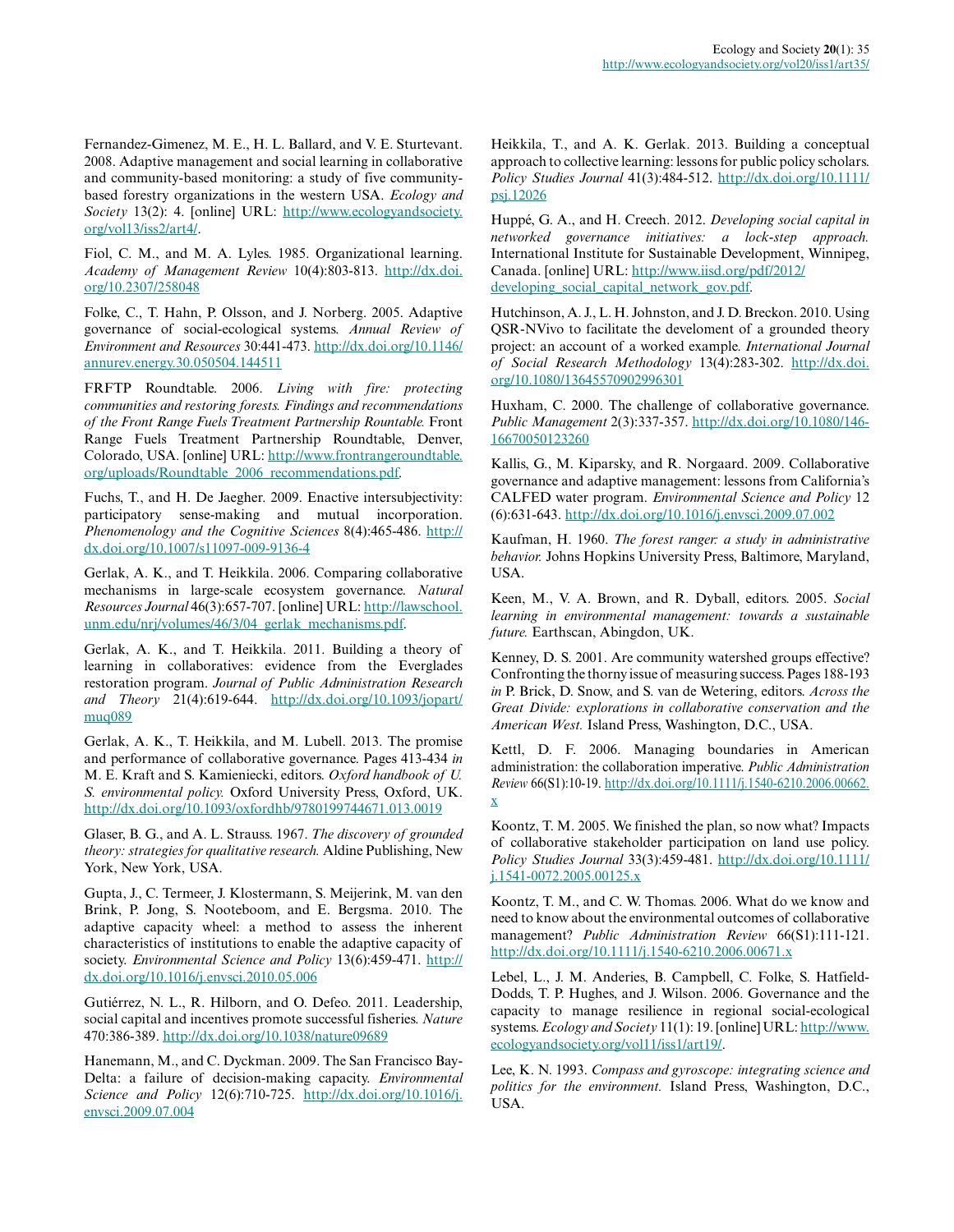Fernandez-Gimenez, M. E., H. L. Ballard, and V. E. Sturtevant. 2008. Adaptive management and social learning in collaborative and community-based monitoring: a study of five communitybased forestry organizations in the western USA. *Ecology and Society* 13(2): 4. [online] URL: [http://www.ecologyandsociety.](http://www.ecologyandsociety.org/vol13/iss2/art4/) [org/vol13/iss2/art4/.](http://www.ecologyandsociety.org/vol13/iss2/art4/)

Fiol, C. M., and M. A. Lyles. 1985. Organizational learning. *Academy of Management Review* 10(4):803-813. [http://dx.doi.](http://dx.doi.org/10.2307/258048) [org/10.2307/258048](http://dx.doi.org/10.2307/258048)

Folke, C., T. Hahn, P. Olsson, and J. Norberg. 2005. Adaptive governance of social-ecological systems. *Annual Review of Environment and Resources* 30:441-473. [http://dx.doi.org/10.1146/](http://dx.doi.org/10.1146/annurev.energy.30.050504.144511) [annurev.energy.30.050504.144511](http://dx.doi.org/10.1146/annurev.energy.30.050504.144511) 

FRFTP Roundtable. 2006. *Living with fire: protecting communities and restoring forests. Findings and recommendations of the Front Range Fuels Treatment Partnership Rountable.* Front Range Fuels Treatment Partnership Roundtable, Denver, Colorado, USA. [online] URL: [http://www.frontrangeroundtable.](http://www.frontrangeroundtable.org/uploads/Roundtable_2006_recommendations.pdf) [org/uploads/Roundtable\\_2006\\_recommendations.pdf.](http://www.frontrangeroundtable.org/uploads/Roundtable_2006_recommendations.pdf)

Fuchs, T., and H. De Jaegher. 2009. Enactive intersubjectivity: participatory sense-making and mutual incorporation. *Phenomenology and the Cognitive Sciences* 8(4):465-486. [http://](http://dx.doi.org/10.1007/s11097-009-9136-4) [dx.doi.org/10.1007/s11097-009-9136-4](http://dx.doi.org/10.1007/s11097-009-9136-4) 

Gerlak, A. K., and T. Heikkila. 2006. Comparing collaborative mechanisms in large-scale ecosystem governance. *Natural Resources Journal* 46(3):657-707. [online] URL: [http://lawschool.](http://lawschool.unm.edu/nrj/volumes/46/3/04_gerlak_mechanisms.pdf) [unm.edu/nrj/volumes/46/3/04\\_gerlak\\_mechanisms.pdf.](http://lawschool.unm.edu/nrj/volumes/46/3/04_gerlak_mechanisms.pdf)

Gerlak, A. K., and T. Heikkila. 2011. Building a theory of learning in collaboratives: evidence from the Everglades restoration program. *Journal of Public Administration Research and Theory* 21(4):619-644. [http://dx.doi.org/10.1093/jopart/](http://dx.doi.org/10.1093/jopart/muq089) muq089

Gerlak, A. K., T. Heikkila, and M. Lubell. 2013. The promise and performance of collaborative governance. Pages 413-434 *in* M. E. Kraft and S. Kamieniecki, editors. *Oxford handbook of U. S. environmental policy.* Oxford University Press, Oxford, UK. <http://dx.doi.org/10.1093/oxfordhb/9780199744671.013.0019>

Glaser, B. G., and A. L. Strauss. 1967. *The discovery of grounded theory: strategies for qualitative research.* Aldine Publishing, New York, New York, USA.

Gupta, J., C. Termeer, J. Klostermann, S. Meijerink, M. van den Brink, P. Jong, S. Nooteboom, and E. Bergsma. 2010. The adaptive capacity wheel: a method to assess the inherent characteristics of institutions to enable the adaptive capacity of society. *Environmental Science and Policy* 13(6):459-471. [http://](http://dx.doi.org/10.1016/j.envsci.2010.05.006) [dx.doi.org/10.1016/j.envsci.2010.05.006](http://dx.doi.org/10.1016/j.envsci.2010.05.006)

Gutiérrez, N. L., R. Hilborn, and O. Defeo. 2011. Leadership, social capital and incentives promote successful fisheries. *Nature* 470:386-389. <http://dx.doi.org/10.1038/nature09689>

Hanemann, M., and C. Dyckman. 2009. The San Francisco Bay-Delta: a failure of decision-making capacity. *Environmental Science and Policy* 12(6):710-725. [http://dx.doi.org/10.1016/j.](http://dx.doi.org/10.1016/j.envsci.2009.07.004) [envsci.2009.07.004](http://dx.doi.org/10.1016/j.envsci.2009.07.004) 

Heikkila, T., and A. K. Gerlak. 2013. Building a conceptual approach to collective learning: lessons for public policy scholars. *Policy Studies Journal* 41(3):484-512. [http://dx.doi.org/10.1111/](http://dx.doi.org/10.1111/psj.12026) [psj.12026](http://dx.doi.org/10.1111/psj.12026) 

Huppé, G. A., and H. Creech. 2012. *Developing social capital in networked governance initiatives: a lock-step approach.* International Institute for Sustainable Development, Winnipeg, Canada. [online] URL: [http://www.iisd.org/pdf/2012/](http://www.iisd.org/pdf/2012/developing_social_capital_network_gov.pdf) [developing\\_social\\_capital\\_network\\_gov.pdf.](http://www.iisd.org/pdf/2012/developing_social_capital_network_gov.pdf)

Hutchinson, A. J., L. H. Johnston, and J. D. Breckon. 2010. Using QSR-NVivo to facilitate the develoment of a grounded theory project: an account of a worked example. *International Journal of Social Research Methodology* 13(4):283-302. [http://dx.doi.](http://dx.doi.org/10.1080/13645570902996301) [org/10.1080/13645570902996301](http://dx.doi.org/10.1080/13645570902996301) 

Huxham, C. 2000. The challenge of collaborative governance. *Public Management* 2(3):337-357. [http://dx.doi.org/10.1080/146](http://dx.doi.org/10.1080/14616670050123260) [16670050123260](http://dx.doi.org/10.1080/14616670050123260)

Kallis, G., M. Kiparsky, and R. Norgaard. 2009. Collaborative governance and adaptive management: lessons from California's CALFED water program. *Environmental Science and Policy* 12 (6):631-643. <http://dx.doi.org/10.1016/j.envsci.2009.07.002>

Kaufman, H. 1960. *The forest ranger: a study in administrative behavior.* Johns Hopkins University Press, Baltimore, Maryland, USA.

Keen, M., V. A. Brown, and R. Dyball, editors. 2005. *Social learning in environmental management: towards a sustainable future.* Earthscan, Abingdon, UK.

Kenney, D. S. 2001. Are community watershed groups effective? Confronting the thorny issue of measuring success. Pages 188-193 *in* P. Brick, D. Snow, and S. van de Wetering, editors. *Across the Great Divide: explorations in collaborative conservation and the American West.* Island Press, Washington, D.C., USA.

Kettl, D. F. 2006. Managing boundaries in American administration: the collaboration imperative. *Public Administration Review* 66(S1):10-19. [http://dx.doi.org/10.1111/j.1540-6210.2006.00662.](http://dx.doi.org/10.1111/j.1540-6210.2006.00662.x) [x](http://dx.doi.org/10.1111/j.1540-6210.2006.00662.x) 

Koontz, T. M. 2005. We finished the plan, so now what? Impacts of collaborative stakeholder participation on land use policy. *Policy Studies Journal* 33(3):459-481. [http://dx.doi.org/10.1111/](http://dx.doi.org/10.1111/j.1541-0072.2005.00125.x) [j.1541-0072.2005.00125.x](http://dx.doi.org/10.1111/j.1541-0072.2005.00125.x)

Koontz, T. M., and C. W. Thomas. 2006. What do we know and need to know about the environmental outcomes of collaborative management? *Public Administration Review* 66(S1):111-121. <http://dx.doi.org/10.1111/j.1540-6210.2006.00671.x>

Lebel, L., J. M. Anderies, B. Campbell, C. Folke, S. Hatfield-Dodds, T. P. Hughes, and J. Wilson. 2006. Governance and the capacity to manage resilience in regional social-ecological systems. *Ecology and Society* 11(1): 19. [online] URL: [http://www.](http://www.ecologyandsociety.org/vol11/iss1/art19/) [ecologyandsociety.org/vol11/iss1/art19/](http://www.ecologyandsociety.org/vol11/iss1/art19/).

Lee, K. N. 1993. *Compass and gyroscope: integrating science and politics for the environment.* Island Press, Washington, D.C., USA.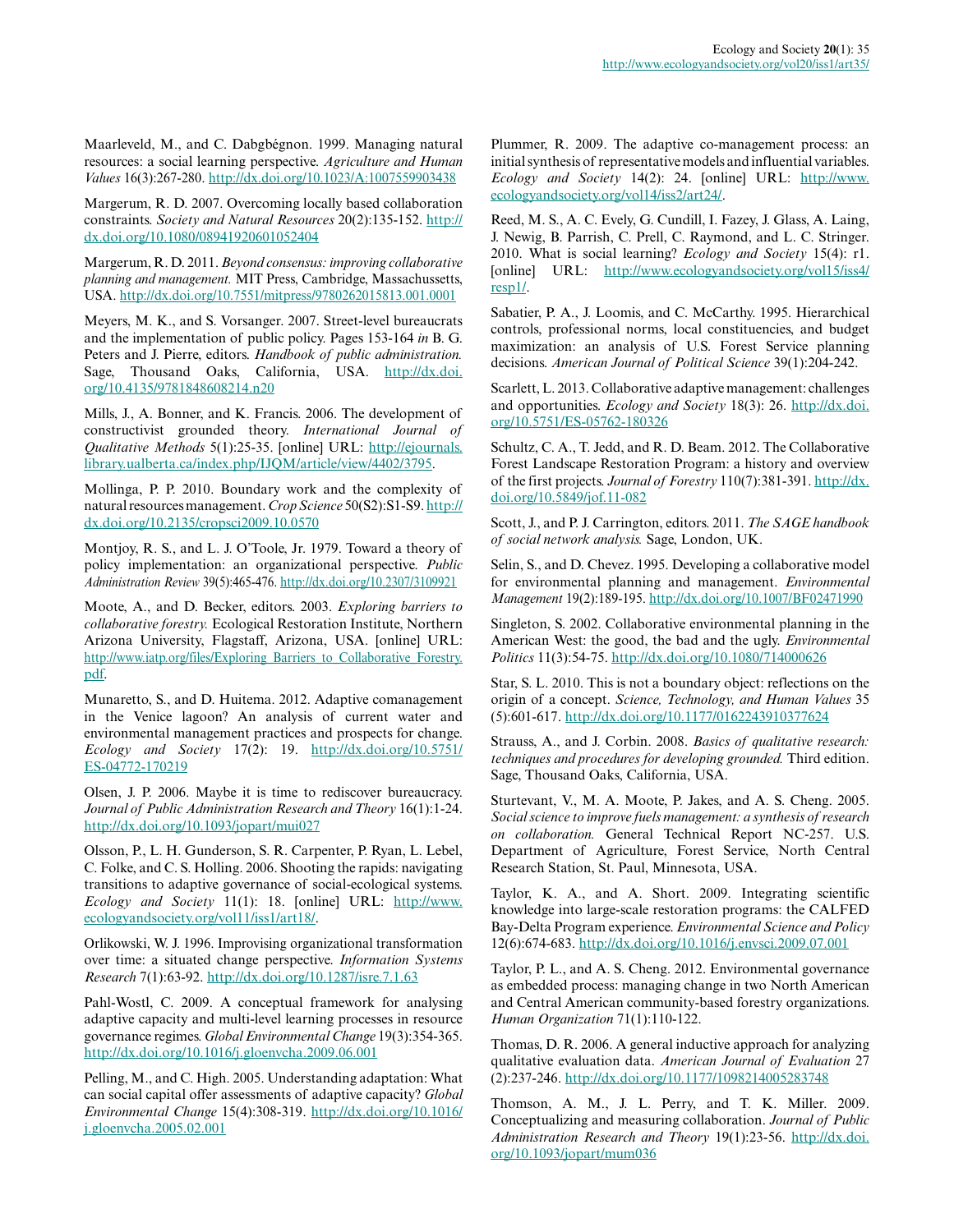Maarleveld, M., and C. Dabgbégnon. 1999. Managing natural resources: a social learning perspective. *Agriculture and Human Values* 16(3):267-280. <http://dx.doi.org/10.1023/A:1007559903438>

Margerum, R. D. 2007. Overcoming locally based collaboration constraints. *Society and Natural Resources* 20(2):135-152. [http://](http://dx.doi.org/10.1080/08941920601052404) [dx.doi.org/10.1080/08941920601052404](http://dx.doi.org/10.1080/08941920601052404)

Margerum, R. D. 2011. *Beyond consensus: improving collaborative planning and management.* MIT Press, Cambridge, Massachussetts, USA. <http://dx.doi.org/10.7551/mitpress/9780262015813.001.0001>

Meyers, M. K., and S. Vorsanger. 2007. Street-level bureaucrats and the implementation of public policy. Pages 153-164 *in* B. G. Peters and J. Pierre, editors. *Handbook of public administration.* Sage, Thousand Oaks, California, USA. [http://dx.doi.](http://dx.doi.org/10.4135/9781848608214.n20) [org/10.4135/9781848608214.n20](http://dx.doi.org/10.4135/9781848608214.n20)

Mills, J., A. Bonner, and K. Francis. 2006. The development of constructivist grounded theory. *International Journal of Qualitative Methods* 5(1):25-35. [online] URL: [http://ejournals.](http://ejournals.library.ualberta.ca/index.php/IJQM/article/view/4402/3795) [library.ualberta.ca/index.php/IJQM/article/view/4402/3795](http://ejournals.library.ualberta.ca/index.php/IJQM/article/view/4402/3795).

Mollinga, P. P. 2010. Boundary work and the complexity of natural resources management. *Crop Science* 50(S2):S1-S9. [http://](http://dx.doi.org/10.2135/cropsci2009.10.0570) [dx.doi.org/10.2135/cropsci2009.10.0570](http://dx.doi.org/10.2135/cropsci2009.10.0570) 

Montjoy, R. S., and L. J. O'Toole, Jr. 1979. Toward a theory of policy implementation: an organizational perspective. *Public Administration Review* 39(5):465-476. <http://dx.doi.org/10.2307/3109921>

Moote, A., and D. Becker, editors. 2003. *Exploring barriers to collaborative forestry.* Ecological Restoration Institute, Northern Arizona University, Flagstaff, Arizona, USA. [online] URL: [http://www.iatp.org/files/Exploring\\_Barriers\\_to\\_Collaborative\\_Forestry.](http://www.iatp.org/files/Exploring_Barriers_to_Collaborative_Forestry.pdf) [pdf.](http://www.iatp.org/files/Exploring_Barriers_to_Collaborative_Forestry.pdf)

Munaretto, S., and D. Huitema. 2012. Adaptive comanagement in the Venice lagoon? An analysis of current water and environmental management practices and prospects for change. *Ecology and Society* 17(2): 19. [http://dx.doi.org/10.5751/](http://dx.doi.org/10.5751/ES-04772-170219) [ES-04772-170219](http://dx.doi.org/10.5751/ES-04772-170219)

Olsen, J. P. 2006. Maybe it is time to rediscover bureaucracy. *Journal of Public Administration Research and Theory* 16(1):1-24. <http://dx.doi.org/10.1093/jopart/mui027>

Olsson, P., L. H. Gunderson, S. R. Carpenter, P. Ryan, L. Lebel, C. Folke, and C. S. Holling. 2006. Shooting the rapids: navigating transitions to adaptive governance of social-ecological systems. *Ecology and Society* 11(1): 18. [online] URL: [http://www.](http://www.ecologyandsociety.org/vol11/iss1/art18/) [ecologyandsociety.org/vol11/iss1/art18/](http://www.ecologyandsociety.org/vol11/iss1/art18/).

Orlikowski, W. J. 1996. Improvising organizational transformation over time: a situated change perspective. *Information Systems Research* 7(1):63-92. <http://dx.doi.org/10.1287/isre.7.1.63>

Pahl-Wostl, C. 2009. A conceptual framework for analysing adaptive capacity and multi-level learning processes in resource governance regimes. *Global Environmental Change* 19(3):354-365. <http://dx.doi.org/10.1016/j.gloenvcha.2009.06.001>

Pelling, M., and C. High. 2005. Understanding adaptation: What can social capital offer assessments of adaptive capacity? *Global Environmental Change* 15(4):308-319. [http://dx.doi.org/10.1016/](http://dx.doi.org/10.1016/j.gloenvcha.2005.02.001) [j.gloenvcha.2005.02.001](http://dx.doi.org/10.1016/j.gloenvcha.2005.02.001) 

Plummer, R. 2009. The adaptive co-management process: an initial synthesis of representative models and influential variables. *Ecology and Society* 14(2): 24. [online] URL: [http://www.](http://www.ecologyandsociety.org/vol14/iss2/art24/) [ecologyandsociety.org/vol14/iss2/art24/](http://www.ecologyandsociety.org/vol14/iss2/art24/).

Reed, M. S., A. C. Evely, G. Cundill, I. Fazey, J. Glass, A. Laing, J. Newig, B. Parrish, C. Prell, C. Raymond, and L. C. Stringer. 2010. What is social learning? *Ecology and Society* 15(4): r1. [online] URL: [http://www.ecologyandsociety.org/vol15/iss4/](http://www.ecologyandsociety.org/vol15/iss4/resp1/) [resp1/.](http://www.ecologyandsociety.org/vol15/iss4/resp1/)

Sabatier, P. A., J. Loomis, and C. McCarthy. 1995. Hierarchical controls, professional norms, local constituencies, and budget maximization: an analysis of U.S. Forest Service planning decisions. *American Journal of Political Science* 39(1):204-242.

Scarlett, L. 2013. Collaborative adaptive management: challenges and opportunities. *Ecology and Society* 18(3): 26. [http://dx.doi.](http://dx.doi.org/10.5751/ES-05762-180326) [org/10.5751/ES-05762-180326](http://dx.doi.org/10.5751/ES-05762-180326) 

Schultz, C. A., T. Jedd, and R. D. Beam. 2012. The Collaborative Forest Landscape Restoration Program: a history and overview of the first projects. *Journal of Forestry* 110(7):381-391. [http://dx.](http://dx.doi.org/10.5849/jof.11-082) [doi.org/10.5849/jof.11-082](http://dx.doi.org/10.5849/jof.11-082) 

Scott, J., and P. J. Carrington, editors. 2011. *The SAGE handbook of social network analysis.* Sage, London, UK.

Selin, S., and D. Chevez. 1995. Developing a collaborative model for environmental planning and management. *Environmental Management* 19(2):189-195. <http://dx.doi.org/10.1007/BF02471990>

Singleton, S. 2002. Collaborative environmental planning in the American West: the good, the bad and the ugly. *Environmental Politics* 11(3):54-75. <http://dx.doi.org/10.1080/714000626>

Star, S. L. 2010. This is not a boundary object: reflections on the origin of a concept. *Science, Technology, and Human Values* 35 (5):601-617. <http://dx.doi.org/10.1177/0162243910377624>

Strauss, A., and J. Corbin. 2008. *Basics of qualitative research: techniques and procedures for developing grounded.* Third edition. Sage, Thousand Oaks, California, USA.

Sturtevant, V., M. A. Moote, P. Jakes, and A. S. Cheng. 2005. *Social science to improve fuels management: a synthesis of research on collaboration.* General Technical Report NC-257. U.S. Department of Agriculture, Forest Service, North Central Research Station, St. Paul, Minnesota, USA.

Taylor, K. A., and A. Short. 2009. Integrating scientific knowledge into large-scale restoration programs: the CALFED Bay-Delta Program experience. *Environmental Science and Policy* 12(6):674-683. <http://dx.doi.org/10.1016/j.envsci.2009.07.001>

Taylor, P. L., and A. S. Cheng. 2012. Environmental governance as embedded process: managing change in two North American and Central American community-based forestry organizations. *Human Organization* 71(1):110-122.

Thomas, D. R. 2006. A general inductive approach for analyzing qualitative evaluation data. *American Journal of Evaluation* 27 (2):237-246. <http://dx.doi.org/10.1177/1098214005283748>

Thomson, A. M., J. L. Perry, and T. K. Miller. 2009. Conceptualizing and measuring collaboration. *Journal of Public Administration Research and Theory* 19(1):23-56. [http://dx.doi.](http://dx.doi.org/10.1093/jopart/mum036) [org/10.1093/jopart/mum036](http://dx.doi.org/10.1093/jopart/mum036)